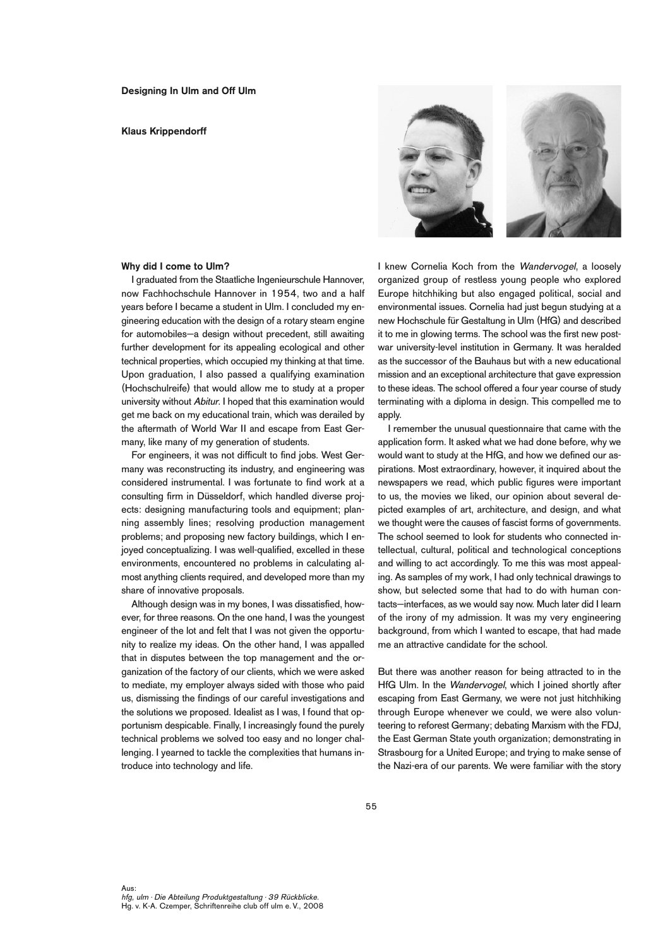### **Klaus Krippendorff**



# **Why did I come to Ulm?**

I graduated from the Staatliche Ingenieurschule Hannover, now Fachhochschule Hannover in 1954, two and a half years before I became a student in Ulm. I concluded my engineering education with the design of a rotary steam engine for automobiles—a design without precedent, still awaiting further development for its appealing ecological and other technical properties, which occupied my thinking at that time. Upon graduation, I also passed a qualifying examination (Hochschulreife) that would allow me to study at a proper university without Abitur. I hoped that this examination would get me back on my educational train, which was derailed by the aftermath of World War II and escape from East Germany, like many of my generation of students.

For engineers, it was not difficult to find jobs. West Germany was reconstructing its industry, and engineering was considered instrumental. I was fortunate to find work at a consulting firm in Düsseldorf, which handled diverse projects: designing manufacturing tools and equipment; planning assembly lines; resolving production management problems; and proposing new factory buildings, which I enjoyed conceptualizing. I was well-qualified, excelled in these environments, encountered no problems in calculating almost anything clients required, and developed more than my share of innovative proposals.

Although design was in my bones, I was dissatisfied, however, for three reasons. On the one hand, I was the youngest engineer of the lot and felt that I was not given the opportunity to realize my ideas. On the other hand, I was appalled that in disputes between the top management and the organization of the factory of our clients, which we were asked to mediate, my employer always sided with those who paid us, dismissing the findings of our careful investigations and the solutions we proposed. Idealist as I was, I found that opportunism despicable. Finally, I increasingly found the purely technical problems we solved too easy and no longer challenging. I yearned to tackle the complexities that humans introduce into technology and life.

I knew Cornelia Koch from the Wandervogel, a loosely organized group of restless young people who explored Europe hitchhiking but also engaged political, social and environmental issues. Cornelia had just begun studying at a new Hochschule für Gestaltung in Ulm (HfG) and described it to me in glowing terms. The school was the first new postwar university-level institution in Germany. It was heralded as the successor of the Bauhaus but with a new educational mission and an exceptional architecture that gave expression to these ideas. The school offered a four year course of study terminating with a diploma in design. This compelled me to apply.

I remember the unusual questionnaire that came with the application form. It asked what we had done before, why we would want to study at the HfG, and how we defined our aspirations. Most extraordinary, however, it inquired about the newspapers we read, which public figures were important to us, the movies we liked, our opinion about several depicted examples of art, architecture, and design, and what we thought were the causes of fascist forms of governments. The school seemed to look for students who connected intellectual, cultural, political and technological conceptions and willing to act accordingly. To me this was most appealing. As samples of my work, I had only technical drawings to show, but selected some that had to do with human contacts—interfaces, as we would say now. Much later did I learn of the irony of my admission. It was my very engineering background, from which I wanted to escape, that had made me an attractive candidate for the school.

But there was another reason for being attracted to in the HfG Ulm. In the Wandervogel, which I joined shortly after escaping from East Germany, we were not just hitchhiking through Europe whenever we could, we were also volunteering to reforest Germany; debating Marxism with the FDJ, the East German State youth organization; demonstrating in Strasbourg for a United Europe; and trying to make sense of the Nazi-era of our parents. We were familiar with the story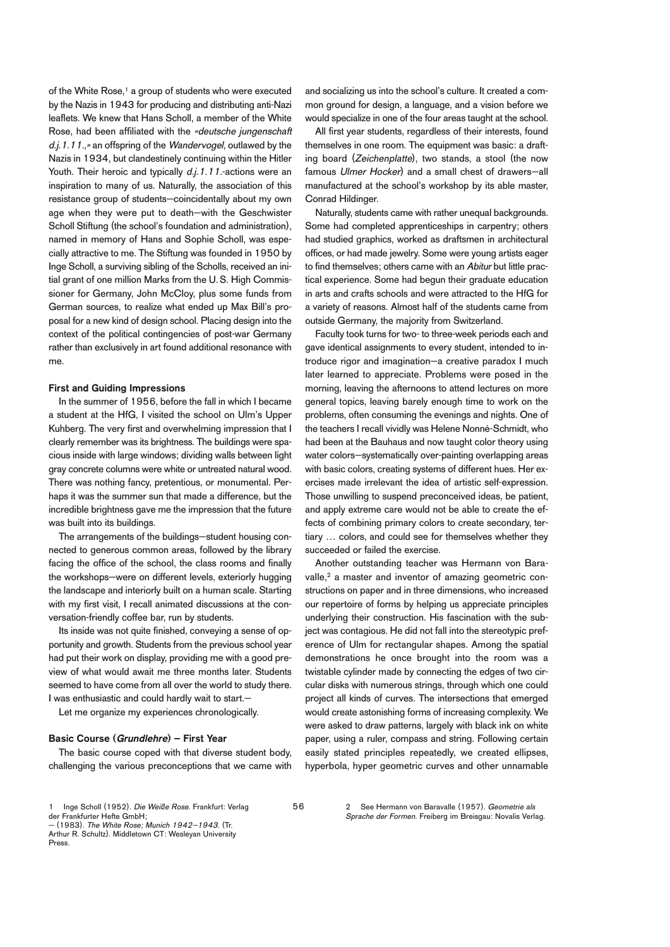of the White Rose, <sup>1</sup> a group of students who were executed by the Nazis in 1943 for producing and distributing anti-Nazi leaflets. We knew that Hans Scholl, a member of the White Rose, had been affiliated with the «deutsche jungenschaft d.j.1.11.,» an offspring of the Wandervogel, outlawed by the Nazis in 1934, but clandestinely continuing within the Hitler Youth. Their heroic and typically d.j. 1.11.-actions were an inspiration to many of us. Naturally, the association of this resistance group of students—coincidentally about my own age when they were put to death—with the Geschwister Scholl Stiftung (the school's foundation and administration), named in memory of Hans and Sophie Scholl, was especially attractive to me. The Stiftung was founded in 1950 by Inge Scholl, a surviving sibling of the Scholls, received an initial grant of one million Marks from the U. S. High Commissioner for Germany, John McCloy, plus some funds from German sources, to realize what ended up Max Bill's proposal for a new kind of design school. Placing design into the context of the political contingencies of post-war Germany rather than exclusively in art found additional resonance with me.

### **First and Guiding Impressions**

In the summer of 1956, before the fall in which I became a student at the HfG, I visited the school on Ulm's Upper Kuhberg. The very first and overwhelming impression that I clearly remember was its brightness. The buildings were spacious inside with large windows; dividing walls between light gray concrete columns were white or untreated natural wood. There was nothing fancy, pretentious, or monumental. Perhaps it was the summer sun that made a difference, but the incredible brightness gave me the impression that the future was built into its buildings.

The arrangements of the buildings—student housing connected to generous common areas, followed by the library facing the office of the school, the class rooms and finally the workshops—were on different levels, exteriorly hugging the landscape and interiorly built on a human scale. Starting with my first visit, I recall animated discussions at the conversation-friendly coffee bar, run by students.

Its inside was not quite finished, conveying a sense of opportunity and growth. Students from the previous school year had put their work on display, providing me with a good preview of what would await me three months later. Students seemed to have come from all over the world to study there. I was enthusiastic and could hardly wait to start.—

Let me organize my experiences chronologically.

### **Basic Course (Grundlehre) – First Year**

The basic course coped with that diverse student body, challenging the various preconceptions that we came with

56

and socializing us into the school's culture. It created a common ground for design, a language, and a vision before we would specialize in one of the four areas taught at the school.

All first year students, regardless of their interests, found themselves in one room. The equipment was basic: a drafting board (Zeichenplatte), two stands, a stool (the now famous Ulmer Hocker) and a small chest of drawers—all manufactured at the school's workshop by its able master, Conrad Hildinger.

Naturally, students came with rather unequal backgrounds. Some had completed apprenticeships in carpentry; others had studied graphics, worked as draftsmen in architectural offices, or had made jewelry. Some were young artists eager to find themselves; others came with an Abitur but little practical experience. Some had begun their graduate education in arts and crafts schools and were attracted to the HfG for a variety of reasons. Almost half of the students came from outside Germany, the majority from Switzerland.

Faculty took turns for two- to three-week periods each and gave identical assignments to every student, intended to introduce rigor and imagination—a creative paradox I much later learned to appreciate. Problems were posed in the morning, leaving the afternoons to attend lectures on more general topics, leaving barely enough time to work on the problems, often consuming the evenings and nights. One of the teachers I recall vividly was Helene Nonné-Schmidt, who had been at the Bauhaus and now taught color theory using water colors—systematically over-painting overlapping areas with basic colors, creating systems of different hues. Her exercises made irrelevant the idea of artistic self-expression. Those unwilling to suspend preconceived ideas, be patient, and apply extreme care would not be able to create the effects of combining primary colors to create secondary, tertiary … colors, and could see for themselves whether they succeeded or failed the exercise.

Another outstanding teacher was Hermann von Baravalle, <sup>2</sup> a master and inventor of amazing geometric constructions on paper and in three dimensions, who increased our repertoire of forms by helping us appreciate principles underlying their construction. His fascination with the subject was contagious. He did not fall into the stereotypic preference of Ulm for rectangular shapes. Among the spatial demonstrations he once brought into the room was a twistable cylinder made by connecting the edges of two circular disks with numerous strings, through which one could project all kinds of curves. The intersections that emerged would create astonishing forms of increasing complexity. We were asked to draw patterns, largely with black ink on white paper, using a ruler, compass and string. Following certain easily stated principles repeatedly, we created ellipses, hyperbola, hyper geometric curves and other unnamable

2 See Hermann von Baravalle (1957). Geometrie als Sprache der Formen. Freiberg im Breisgau: Novalis Verlag.

<sup>1</sup> Inge Scholl (1952). Die Weiße Rose. Frankfurt: Verlag der Frankfurter Hefte GmbH;

<sup>—</sup> (1983). The White Rose; Munich 1942–1943. (Tr. Arthur R. Schultz). Middletown CT: Wesleyan University Press.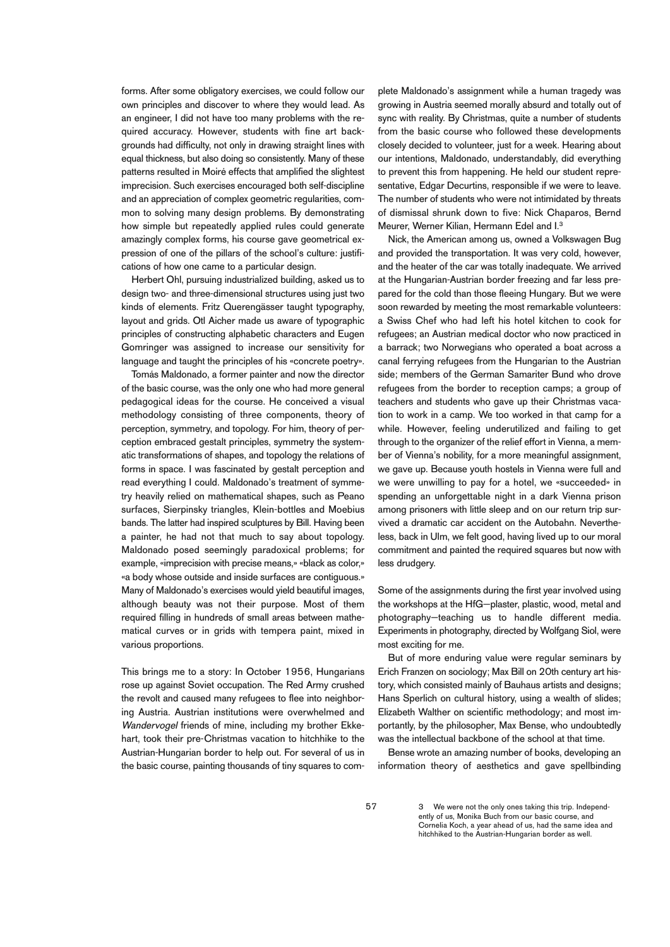forms. After some obligatory exercises, we could follow our own principles and discover to where they would lead. As an engineer, I did not have too many problems with the required accuracy. However, students with fine art backgrounds had difficulty, not only in drawing straight lines with equal thickness, but also doing so consistently. Many of these patterns resulted in Moiré effects that amplified the slightest imprecision. Such exercises encouraged both self-discipline and an appreciation of complex geometric regularities, common to solving many design problems. By demonstrating how simple but repeatedly applied rules could generate amazingly complex forms, his course gave geometrical expression of one of the pillars of the school's culture: justifications of how one came to a particular design.

Herbert Ohl, pursuing industrialized building, asked us to design two- and three-dimensional structures using just two kinds of elements. Fritz Querengässer taught typography, layout and grids. Otl Aicher made us aware of typographic principles of constructing alphabetic characters and Eugen Gomringer was assigned to increase our sensitivity for language and taught the principles of his «concrete poetry».

Tomás Maldonado, a former painter and now the director of the basic course, was the only one who had more general pedagogical ideas for the course. He conceived a visual methodology consisting of three components, theory of perception, symmetry, and topology. For him, theory of perception embraced gestalt principles, symmetry the systematic transformations of shapes, and topology the relations of forms in space. I was fascinated by gestalt perception and read everything I could. Maldonado's treatment of symmetry heavily relied on mathematical shapes, such as Peano surfaces, Sierpinsky triangles, Klein-bottles and Moebius bands. The latter had inspired sculptures by Bill. Having been a painter, he had not that much to say about topology. Maldonado posed seemingly paradoxical problems; for example, «imprecision with precise means,» «black as color,» «a body whose outside and inside surfaces are contiguous.» Many of Maldonado's exercises would yield beautiful images, although beauty was not their purpose. Most of them required filling in hundreds of small areas between mathematical curves or in grids with tempera paint, mixed in various proportions.

This brings me to a story: In October 1956, Hungarians rose up against Soviet occupation. The Red Army crushed the revolt and caused many refugees to flee into neighboring Austria. Austrian institutions were overwhelmed and Wandervogel friends of mine, including my brother Ekkehart, took their pre-Christmas vacation to hitchhike to the Austrian-Hungarian border to help out. For several of us in the basic course, painting thousands of tiny squares to com-

plete Maldonado's assignment while a human tragedy was growing in Austria seemed morally absurd and totally out of sync with reality. By Christmas, quite a number of students from the basic course who followed these developments closely decided to volunteer, just for a week. Hearing about our intentions, Maldonado, understandably, did everything to prevent this from happening. He held our student representative, Edgar Decurtins, responsible if we were to leave. The number of students who were not intimidated by threats of dismissal shrunk down to five: Nick Chaparos, Bernd Meurer, Werner Kilian, Hermann Edel and I. 3

Nick, the American among us, owned a Volkswagen Bug and provided the transportation. It was very cold, however, and the heater of the car was totally inadequate. We arrived at the Hungarian-Austrian border freezing and far less prepared for the cold than those fleeing Hungary. But we were soon rewarded by meeting the most remarkable volunteers: a Swiss Chef who had left his hotel kitchen to cook for refugees; an Austrian medical doctor who now practiced in a barrack; two Norwegians who operated a boat across a canal ferrying refugees from the Hungarian to the Austrian side; members of the German Samariter Bund who drove refugees from the border to reception camps; a group of teachers and students who gave up their Christmas vacation to work in a camp. We too worked in that camp for a while. However, feeling underutilized and failing to get through to the organizer of the relief effort in Vienna, a member of Vienna's nobility, for a more meaningful assignment, we gave up. Because youth hostels in Vienna were full and we were unwilling to pay for a hotel, we «succeeded» in spending an unforgettable night in a dark Vienna prison among prisoners with little sleep and on our return trip survived a dramatic car accident on the Autobahn. Nevertheless, back in Ulm, we felt good, having lived up to our moral commitment and painted the required squares but now with less drudgery.

Some of the assignments during the first year involved using the workshops at the HfG—plaster, plastic, wood, metal and photography—teaching us to handle different media. Experiments in photography, directed by Wolfgang Siol, were most exciting for me.

But of more enduring value were regular seminars by Erich Franzen on sociology; Max Bill on 20th century art history, which consisted mainly of Bauhaus artists and designs; Hans Sperlich on cultural history, using a wealth of slides; Elizabeth Walther on scientific methodology; and most importantly, by the philosopher, Max Bense, who undoubtedly was the intellectual backbone of the school at that time.

Bense wrote an amazing number of books, developing an information theory of aesthetics and gave spellbinding

<sup>3</sup> We were not the only ones taking this trip. Independently of us, Monika Buch from our basic course, and Cornelia Koch, a year ahead of us, had the same idea and hitchhiked to the Austrian-Hungarian border as well.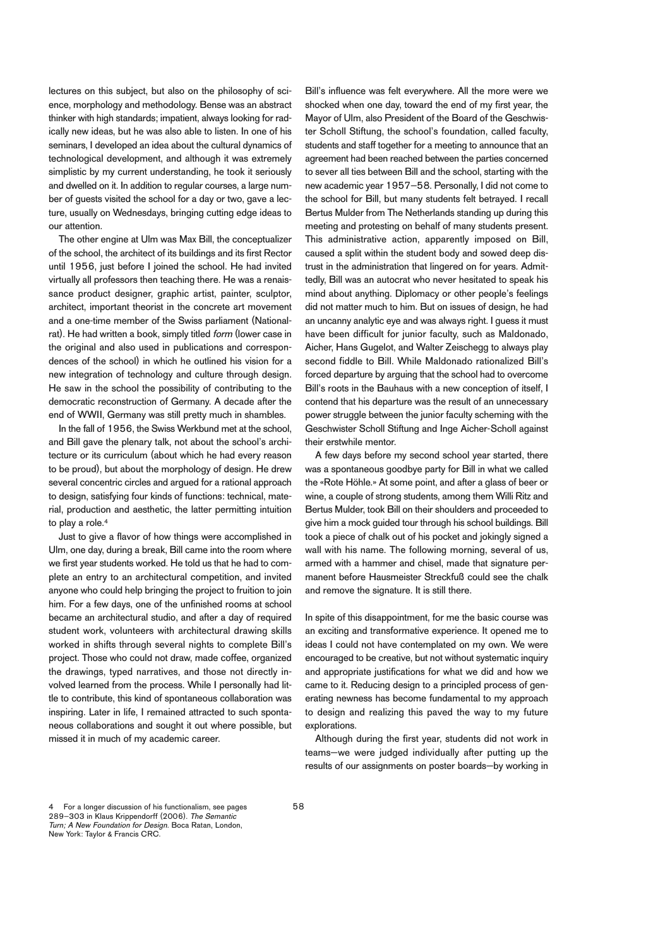lectures on this subject, but also on the philosophy of science, morphology and methodology. Bense was an abstract thinker with high standards; impatient, always looking for radically new ideas, but he was also able to listen. In one of his seminars, I developed an idea about the cultural dynamics of technological development, and although it was extremely simplistic by my current understanding, he took it seriously and dwelled on it. In addition to regular courses, a large number of guests visited the school for a day or two, gave a lecture, usually on Wednesdays, bringing cutting edge ideas to our attention.

The other engine at Ulm was Max Bill, the conceptualizer of the school, the architect of its buildings and its first Rector until 1956, just before I joined the school. He had invited virtually all professors then teaching there. He was a renaissance product designer, graphic artist, painter, sculptor, architect, important theorist in the concrete art movement and a one-time member of the Swiss parliament (Nationalrat). He had written a book, simply titled form (lower case in the original and also used in publications and correspondences of the school) in which he outlined his vision for a new integration of technology and culture through design. He saw in the school the possibility of contributing to the democratic reconstruction of Germany. A decade after the end of WWII, Germany was still pretty much in shambles.

In the fall of 1956, the Swiss Werkbund met at the school, and Bill gave the plenary talk, not about the school's architecture or its curriculum (about which he had every reason to be proud), but about the morphology of design. He drew several concentric circles and argued for a rational approach to design, satisfying four kinds of functions: technical, material, production and aesthetic, the latter permitting intuition to play a role. 4

Just to give a flavor of how things were accomplished in Ulm, one day, during a break, Bill came into the room where we first year students worked. He told us that he had to complete an entry to an architectural competition, and invited anyone who could help bringing the project to fruition to join him. For a few days, one of the unfinished rooms at school became an architectural studio, and after a day of required student work, volunteers with architectural drawing skills worked in shifts through several nights to complete Bill's project. Those who could not draw, made coffee, organized the drawings, typed narratives, and those not directly involved learned from the process. While I personally had little to contribute, this kind of spontaneous collaboration was inspiring. Later in life, I remained attracted to such spontaneous collaborations and sought it out where possible, but missed it in much of my academic career.

Bill's influence was felt everywhere. All the more were we shocked when one day, toward the end of my first year, the Mayor of Ulm, also President of the Board of the Geschwister Scholl Stiftung, the school's foundation, called faculty, students and staff together for a meeting to announce that an agreement had been reached between the parties concerned to sever all ties between Bill and the school, starting with the new academic year 1957–58. Personally, I did not come to the school for Bill, but many students felt betrayed. I recall Bertus Mulder from The Netherlands standing up during this meeting and protesting on behalf of many students present. This administrative action, apparently imposed on Bill, caused a split within the student body and sowed deep distrust in the administration that lingered on for years. Admittedly, Bill was an autocrat who never hesitated to speak his mind about anything. Diplomacy or other people's feelings did not matter much to him. But on issues of design, he had an uncanny analytic eye and was always right. I guess it must have been difficult for junior faculty, such as Maldonado, Aicher, Hans Gugelot, and Walter Zeischegg to always play second fiddle to Bill. While Maldonado rationalized Bill's forced departure by arguing that the school had to overcome Bill's roots in the Bauhaus with a new conception of itself, I contend that his departure was the result of an unnecessary power struggle between the junior faculty scheming with the Geschwister Scholl Stiftung and Inge Aicher-Scholl against their erstwhile mentor.

A few days before my second school year started, there was a spontaneous goodbye party for Bill in what we called the «Rote Höhle.» At some point, and after a glass of beer or wine, a couple of strong students, among them Willi Ritz and Bertus Mulder, took Bill on their shoulders and proceeded to give him a mock guided tour through his school buildings. Bill took a piece of chalk out of his pocket and jokingly signed a wall with his name. The following morning, several of us, armed with a hammer and chisel, made that signature permanent before Hausmeister Streckfuß could see the chalk and remove the signature. It is still there.

In spite of this disappointment, for me the basic course was an exciting and transformative experience. It opened me to ideas I could not have contemplated on my own. We were encouraged to be creative, but not without systematic inquiry and appropriate justifications for what we did and how we came to it. Reducing design to a principled process of generating newness has become fundamental to my approach to design and realizing this paved the way to my future explorations.

Although during the first year, students did not work in teams—we were judged individually after putting up the results of our assignments on poster boards—by working in

<sup>4</sup> For a longer discussion of his functionalism, see pages 289–303 in Klaus Krippendorff (2006). The Semantic Turn; A New Foundation for Design. Boca Ratan, London, New York: Taylor & Francis CRC.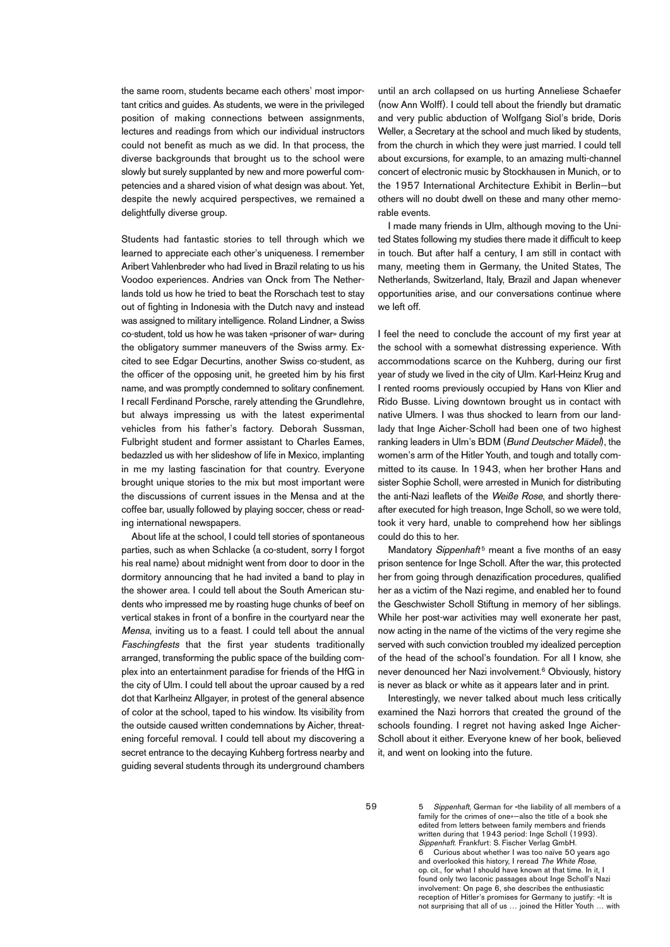the same room, students became each others' most important critics and guides. As students, we were in the privileged position of making connections between assignments, lectures and readings from which our individual instructors could not benefit as much as we did. In that process, the diverse backgrounds that brought us to the school were slowly but surely supplanted by new and more powerful competencies and a shared vision of what design was about. Yet, despite the newly acquired perspectives, we remained a delightfully diverse group.

Students had fantastic stories to tell through which we learned to appreciate each other's uniqueness. I remember Aribert Vahlenbreder who had lived in Brazil relating to us his Voodoo experiences. Andries van Onck from The Netherlands told us how he tried to beat the Rorschach test to stay out of fighting in Indonesia with the Dutch navy and instead was assigned to military intelligence. Roland Lindner, a Swiss co-student, told us how he was taken «prisoner of war» during the obligatory summer maneuvers of the Swiss army. Excited to see Edgar Decurtins, another Swiss co-student, as the officer of the opposing unit, he greeted him by his first name, and was promptly condemned to solitary confinement. I recall Ferdinand Porsche, rarely attending the Grundlehre, but always impressing us with the latest experimental vehicles from his father's factory. Deborah Sussman, Fulbright student and former assistant to Charles Eames, bedazzled us with her slideshow of life in Mexico, implanting in me my lasting fascination for that country. Everyone brought unique stories to the mix but most important were the discussions of current issues in the Mensa and at the coffee bar, usually followed by playing soccer, chess or reading international newspapers.

About life at the school, I could tell stories of spontaneous parties, such as when Schlacke (a co-student, sorry I forgot his real name) about midnight went from door to door in the dormitory announcing that he had invited a band to play in the shower area. I could tell about the South American students who impressed me by roasting huge chunks of beef on vertical stakes in front of a bonfire in the courtyard near the Mensa, inviting us to a feast. I could tell about the annual Faschingfests that the first year students traditionally arranged, transforming the public space of the building complex into an entertainment paradise for friends of the HfG in the city of Ulm. I could tell about the uproar caused by a red dot that Karlheinz Allgayer, in protest of the general absence of color at the school, taped to his window. Its visibility from the outside caused written condemnations by Aicher, threatening forceful removal. I could tell about my discovering a secret entrance to the decaying Kuhberg fortress nearby and guiding several students through its underground chambers until an arch collapsed on us hurting Anneliese Schaefer (now Ann Wolff). I could tell about the friendly but dramatic and very public abduction of Wolfgang Siol's bride, Doris Weller, a Secretary at the school and much liked by students, from the church in which they were just married. I could tell about excursions, for example, to an amazing multi-channel concert of electronic music by Stockhausen in Munich, or to the 1957 International Architecture Exhibit in Berlin—but others will no doubt dwell on these and many other memorable events.

I made many friends in Ulm, although moving to the United States following my studies there made it difficult to keep in touch. But after half a century, I am still in contact with many, meeting them in Germany, the United States, The Netherlands, Switzerland, Italy, Brazil and Japan whenever opportunities arise, and our conversations continue where we left off.

I feel the need to conclude the account of my first year at the school with a somewhat distressing experience. With accommodations scarce on the Kuhberg, during our first year of study we lived in the city of Ulm. Karl-Heinz Krug and I rented rooms previously occupied by Hans von Klier and Rido Busse. Living downtown brought us in contact with native Ulmers. I was thus shocked to learn from our landlady that Inge Aicher-Scholl had been one of two highest ranking leaders in Ulm's BDM (Bund Deutscher Mädel), the women's arm of the Hitler Youth, and tough and totally committed to its cause. In 1943, when her brother Hans and sister Sophie Scholl, were arrested in Munich for distributing the anti-Nazi leaflets of the Weiße Rose, and shortly thereafter executed for high treason, Inge Scholl, so we were told, took it very hard, unable to comprehend how her siblings could do this to her.

Mandatory Sippenhaft<sup>5</sup> meant a five months of an easy prison sentence for Inge Scholl. After the war, this protected her from going through denazification procedures, qualified her as a victim of the Nazi regime, and enabled her to found the Geschwister Scholl Stiftung in memory of her siblings. While her post-war activities may well exonerate her past, now acting in the name of the victims of the very regime she served with such conviction troubled my idealized perception of the head of the school's foundation. For all I know, she never denounced her Nazi involvement. <sup>6</sup> Obviously, history is never as black or white as it appears later and in print.

Interestingly, we never talked about much less critically examined the Nazi horrors that created the ground of the schools founding. I regret not having asked Inge Aicher-Scholl about it either. Everyone knew of her book, believed it, and went on looking into the future.

5 Sippenhaft, German for «the liability of all members of a family for the crimes of one»—also the title of a book she edited from letters between family members and friends written during that 1943 period: Inge Scholl (1993). Sippenhaft. Frankfurt: S. Fischer Verlag GmbH. Curious about whether I was too naïve 50 years ago and overlooked this history, I reread The White Rose op. cit., for what I should have known at that time. In it, I found only two laconic passages about Inge Scholl's Nazi involvement: On page 6, she describes the enthusiastic reception of Hitler's promises for Germany to justify: «It is not surprising that all of us … joined the Hitler Youth … with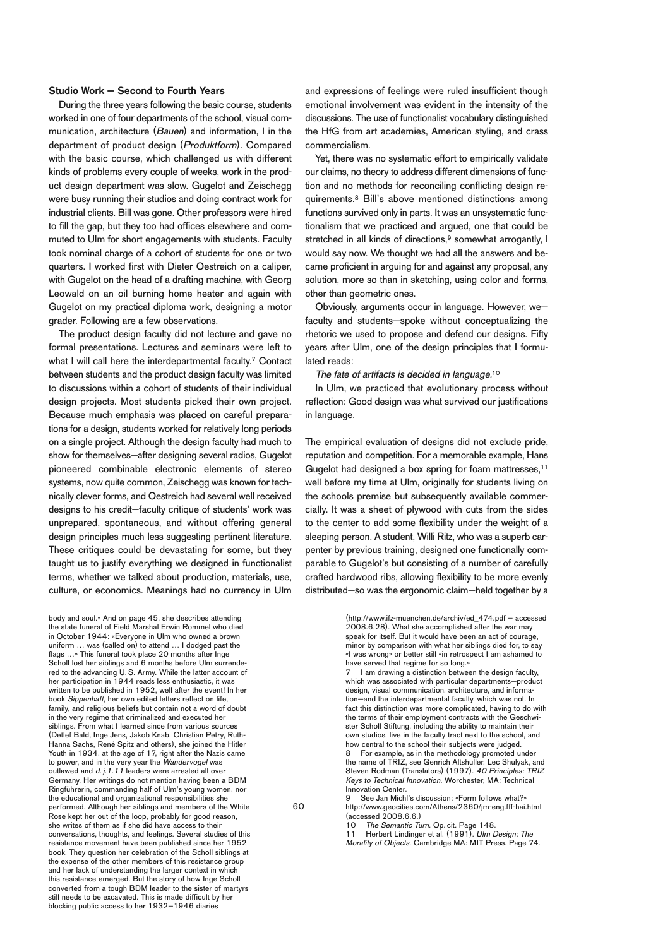### **Studio Work — Second to Fourth Years**

During the three years following the basic course, students worked in one of four departments of the school, visual communication, architecture (Bauen) and information, I in the department of product design (Produktform). Compared with the basic course, which challenged us with different kinds of problems every couple of weeks, work in the product design department was slow. Gugelot and Zeischegg were busy running their studios and doing contract work for industrial clients. Bill was gone. Other professors were hired to fill the gap, but they too had offices elsewhere and commuted to Ulm for short engagements with students. Faculty took nominal charge of a cohort of students for one or two quarters. I worked first with Dieter Oestreich on a caliper, with Gugelot on the head of a drafting machine, with Georg Leowald on an oil burning home heater and again with Gugelot on my practical diploma work, designing a motor grader. Following are a few observations.

The product design faculty did not lecture and gave no formal presentations. Lectures and seminars were left to what I will call here the interdepartmental faculty. <sup>7</sup> Contact between students and the product design faculty was limited to discussions within a cohort of students of their individual design projects. Most students picked their own project. Because much emphasis was placed on careful preparations for a design, students worked for relatively long periods on a single project. Although the design faculty had much to show for themselves—after designing several radios, Gugelot pioneered combinable electronic elements of stereo systems, now quite common, Zeischegg was known for technically clever forms, and Oestreich had several well received designs to his credit—faculty critique of students' work was unprepared, spontaneous, and without offering general design principles much less suggesting pertinent literature. These critiques could be devastating for some, but they taught us to justify everything we designed in functionalist terms, whether we talked about production, materials, use, culture, or economics. Meanings had no currency in Ulm

body and soul.» And on page 45, she describes attending the state funeral of Field Marshal Erwin Rommel who died in October 1944: «Everyone in Ulm who owned a brown uniform … was (called on) to attend … I dodged past the flags ... » This funeral took place 20 months after Inge Scholl lost her siblings and 6 months before Ulm surrendered to the advancing U. S. Army. While the latter account of her participation in 1944 reads less enthusiastic, it was written to be published in 1952, well after the event! In her book Sippenhaft, her own edited letters reflect on life, family, and religious beliefs but contain not a word of doubt in the very regime that criminalized and executed her siblings. From what I learned since from various sources (Detlef Bald, Inge Jens, Jakob Knab, Christian Petry, Ruth-Hanna Sachs, René Spitz and others), she joined the Hitler Youth in 1934, at the age of 17, right after the Nazis came to power, and in the very year the Wandervogel was outlawed and d. j. 1.11 leaders were arrested all over Germany. Her writings do not mention having been a BDM Ringführerin, commanding half of Ulm's young women, nor the educational and organizational responsibilities she performed. Although her siblings and members of the White Rose kept her out of the loop, probably for good reason, she writes of them as if she did have access to their conversations, thoughts, and feelings. Several studies of this resistance movement have been published since her 1952 book. They question her celebration of the Scholl siblings at the expense of the other members of this resistance group and her lack of understanding the larger context in which this resistance emerged. But the story of how Inge Scholl converted from a tough BDM leader to the sister of martyrs still needs to be excavated. This is made difficult by her blocking public access to her 1932–1946 diaries

and expressions of feelings were ruled insufficient though emotional involvement was evident in the intensity of the discussions. The use of functionalist vocabulary distinguished the HfG from art academies, American styling, and crass commercialism.

Yet, there was no systematic effort to empirically validate our claims, no theory to address different dimensions of function and no methods for reconciling conflicting design requirements. <sup>8</sup> Bill's above mentioned distinctions among functions survived only in parts. It was an unsystematic functionalism that we practiced and argued, one that could be stretched in all kinds of directions, <sup>9</sup> somewhat arrogantly, I would say now. We thought we had all the answers and became proficient in arguing for and against any proposal, any solution, more so than in sketching, using color and forms, other than geometric ones.

Obviously, arguments occur in language. However, we faculty and students—spoke without conceptualizing the rhetoric we used to propose and defend our designs. Fifty years after Ulm, one of the design principles that I formulated reads:

The fate of artifacts is decided in language.<sup>10</sup>

In Ulm, we practiced that evolutionary process without reflection: Good design was what survived our justifications in language.

The empirical evaluation of designs did not exclude pride, reputation and competition. For a memorable example, Hans Gugelot had designed a box spring for foam mattresses, 11 well before my time at Ulm, originally for students living on the schools premise but subsequently available commercially. It was a sheet of plywood with cuts from the sides to the center to add some flexibility under the weight of a sleeping person. A student, Willi Ritz, who was a superb carpenter by previous training, designed one functionally comparable to Gugelot's but consisting of a number of carefully crafted hardwood ribs, allowing flexibility to be more evenly distributed—so was the ergonomic claim—held together by a

> (http://www.ifz-muenchen.de/archiv/ed\_474.pdf – accessed 2008.6.28). What she accomplished after the war may speak for itself. But it would have been an act of courage, minor by comparison with what her siblings died for, to say «I was wrong» or better still «in retrospect I am ashamed to have served that regime for so long.»

> I am drawing a distinction between the design faculty, which was associated with particular departments-product design, visual communication, architecture, and information—and the interdepartmental faculty, which was not. In fact this distinction was more complicated, having to do with the terms of their employment contracts with the Geschwister Scholl Stiftung, including the ability to maintain their own studios, live in the faculty tract next to the school, and how central to the school their subjects were judged.<br>B. For example, as in the methodology promoted up For example, as in the methodology promoted under the name of TRIZ, see Genrich Altshuller, Lec Shulyak, and Steven Rodman (Translators) (1997). 40 Principles: TRIZ Keys to Technical Innovation. Worchester, MA: Technical Innovation Center.

See Jan Michl's discussion: «Form follows what?» http://www.geocities.com/Athens/2360/jm-eng.fff-hai.html (accessed 2008.6.6.)

10 The Semantic Turn. Op. cit. Page 148.<br>11 Herbert Lindinger et al. (1991). Ulm Design; The

Morality of Objects. Cambridge MA: MIT Press. Page 74.

 $60$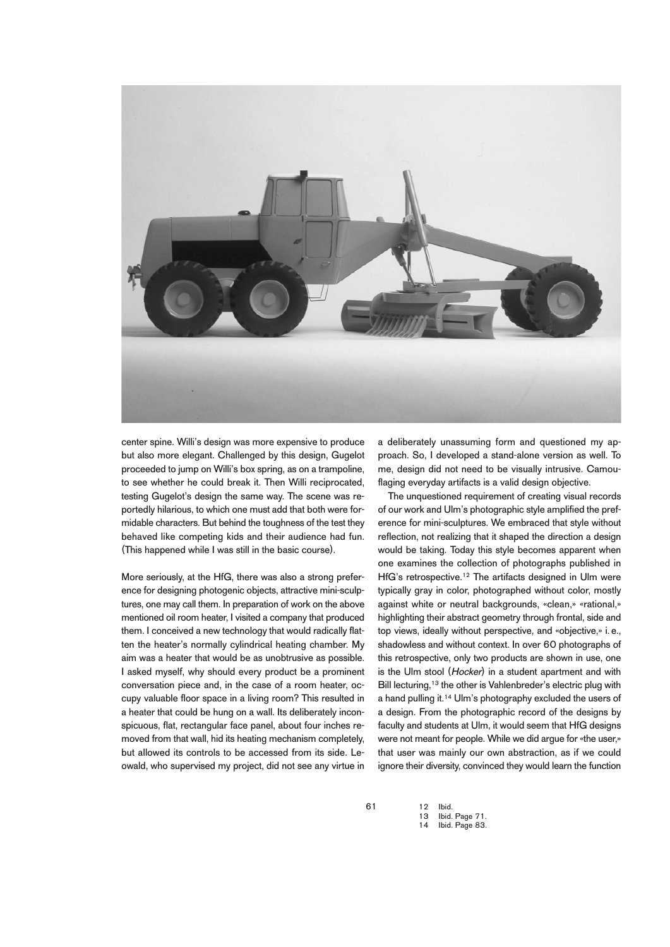

center spine. Willi's design was more expensive to produce but also more elegant. Challenged by this design, Gugelot proceeded to jump on Willi's box spring, as on a trampoline, to see whether he could break it. Then Willi reciprocated, testing Gugelot's design the same way. The scene was reportedly hilarious, to which one must add that both were formidable characters. But behind the toughness of the test they behaved like competing kids and their audience had fun. (This happened while I was still in the basic course).

More seriously, at the HfG, there was also a strong preference for designing photogenic objects, attractive mini-sculptures, one may call them. In preparation of work on the above mentioned oil room heater, I visited a company that produced them. I conceived a new technology that would radically flatten the heater's normally cylindrical heating chamber. My aim was a heater that would be as unobtrusive as possible. I asked myself, why should every product be a prominent conversation piece and, in the case of a room heater, occupy valuable floor space in a living room? This resulted in a heater that could be hung on a wall. Its deliberately inconspicuous, flat, rectangular face panel, about four inches removed from that wall, hid its heating mechanism completely, but allowed its controls to be accessed from its side. Leowald, who supervised my project, did not see any virtue in a deliberately unassuming form and questioned my approach. So, I developed a stand-alone version as well. To me, design did not need to be visually intrusive. Camouflaging everyday artifacts is a valid design objective.

The unquestioned requirement of creating visual records of our work and Ulm's photographic style amplified the preference for mini-sculptures. We embraced that style without reflection, not realizing that it shaped the direction a design would be taking. Today this style becomes apparent when one examines the collection of photographs published in HfG's retrospective. <sup>12</sup> The artifacts designed in Ulm were typically gray in color, photographed without color, mostly against white or neutral backgrounds, «clean,» «rational,» highlighting their abstract geometry through frontal, side and top views, ideally without perspective, and «objective,» i. e., shadowless and without context. In over 60 photographs of this retrospective, only two products are shown in use, one is the Ulm stool (Hocker) in a student apartment and with Bill lecturing,<sup>13</sup> the other is Vahlenbreder's electric plug with a hand pulling it.<sup>14</sup> Ulm's photography excluded the users of a design. From the photographic record of the designs by faculty and students at Ulm, it would seem that HfG designs were not meant for people. While we did arque for «the user.» that user was mainly our own abstraction, as if we could ignore their diversity, convinced they would learn the function

61

12 Ibid. Ibid. Page 71.

14 Ibid. Page 83.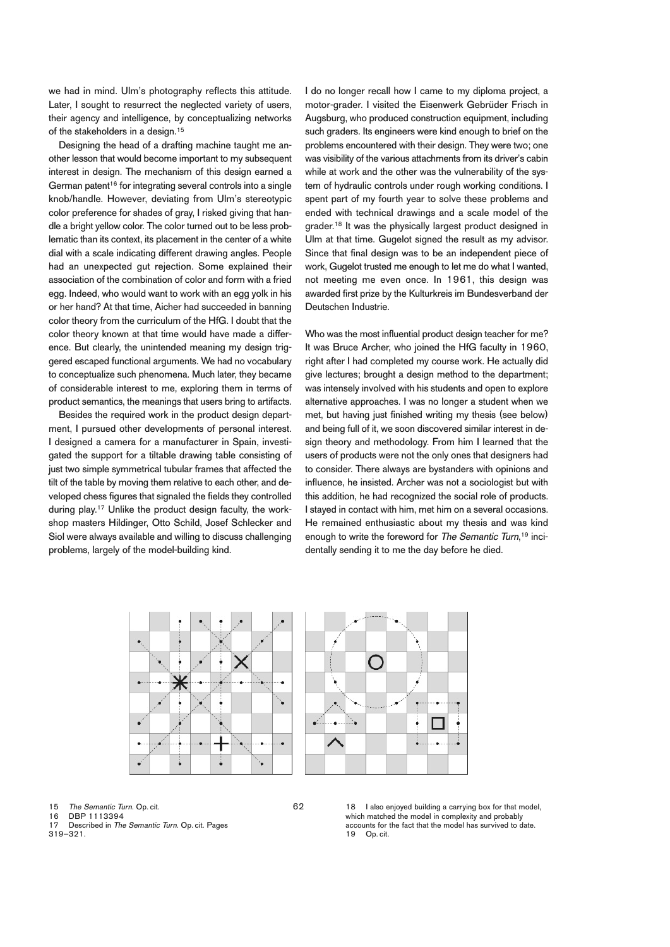we had in mind. Ulm's photography reflects this attitude. Later, I sought to resurrect the neglected variety of users, their agency and intelligence, by conceptualizing networks of the stakeholders in a design. 15

Designing the head of a drafting machine taught me another lesson that would become important to my subsequent interest in design. The mechanism of this design earned a German patent <sup>16</sup> for integrating several controls into a single knob/handle. However, deviating from Ulm's stereotypic color preference for shades of gray, I risked giving that handle a bright yellow color. The color turned out to be less problematic than its context, its placement in the center of a white dial with a scale indicating different drawing angles. People had an unexpected gut rejection. Some explained their association of the combination of color and form with a fried egg. Indeed, who would want to work with an egg yolk in his or her hand? At that time, Aicher had succeeded in banning color theory from the curriculum of the HfG. I doubt that the color theory known at that time would have made a difference. But clearly, the unintended meaning my design triggered escaped functional arguments. We had no vocabulary to conceptualize such phenomena. Much later, they became of considerable interest to me, exploring them in terms of product semantics, the meanings that users bring to artifacts.

Besides the required work in the product design department, I pursued other developments of personal interest. I designed a camera for a manufacturer in Spain, investigated the support for a tiltable drawing table consisting of just two simple symmetrical tubular frames that affected the tilt of the table by moving them relative to each other, and developed chess figures that signaled the fields they controlled during play. <sup>17</sup> Unlike the product design faculty, the workshop masters Hildinger, Otto Schild, Josef Schlecker and Siol were always available and willing to discuss challenging problems, largely of the model-building kind.

I do no longer recall how I came to my diploma project, a motor-grader. I visited the Eisenwerk Gebrüder Frisch in Augsburg, who produced construction equipment, including such graders. Its engineers were kind enough to brief on the problems encountered with their design. They were two; one was visibility of the various attachments from its driver's cabin while at work and the other was the vulnerability of the system of hydraulic controls under rough working conditions. I spent part of my fourth year to solve these problems and ended with technical drawings and a scale model of the grader. <sup>18</sup> It was the physically largest product designed in Ulm at that time. Gugelot signed the result as my advisor. Since that final design was to be an independent piece of work, Gugelot trusted me enough to let me do what I wanted, not meeting me even once. In 1961, this design was awarded first prize by the Kulturkreis im Bundesverband der Deutschen Industrie.

Who was the most influential product design teacher for me? It was Bruce Archer, who joined the HfG faculty in 1960, right after I had completed my course work. He actually did give lectures; brought a design method to the department; was intensely involved with his students and open to explore alternative approaches. I was no longer a student when we met, but having just finished writing my thesis (see below) and being full of it, we soon discovered similar interest in design theory and methodology. From him I learned that the users of products were not the only ones that designers had to consider. There always are bystanders with opinions and influence, he insisted. Archer was not a sociologist but with this addition, he had recognized the social role of products. I stayed in contact with him, met him on a several occasions. He remained enthusiastic about my thesis and was kind enough to write the foreword for The Semantic Turn,<sup>19</sup> incidentally sending it to me the day before he died.





15 The Semantic Turn. Op. cit.<br>16 DBP 1113394

16 DBP 1113394

17 Described in The Semantic Turn. Op. cit. Pages

319–321.

18 I also enjoyed building a carrying box for that model, which matched the model in complexity and probably accounts for the fact that the model has survived to date.<br> $19 - \text{On cit}$ . Op. cit.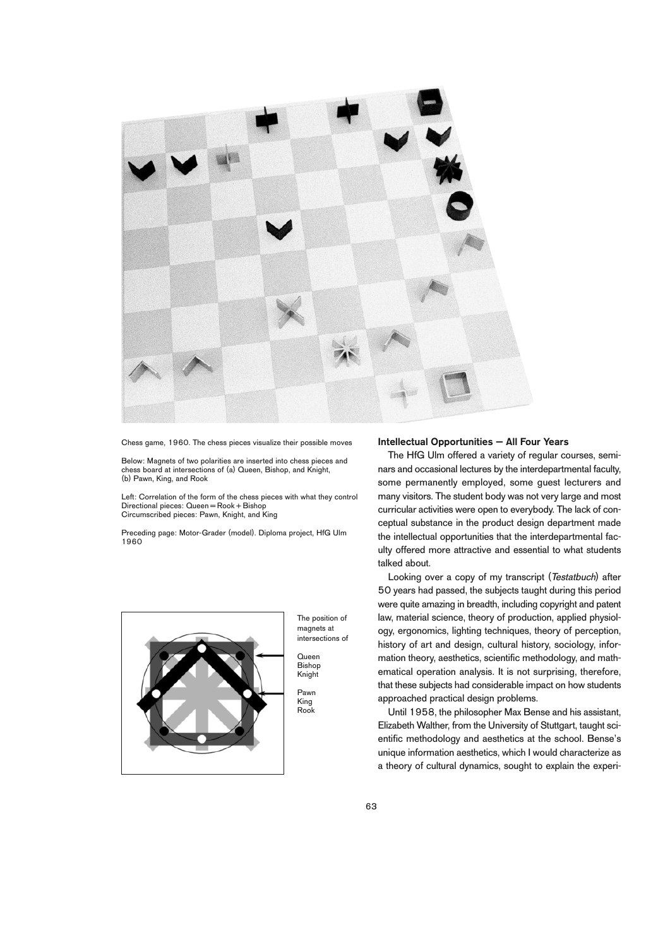

Chess game, 1960. The chess pieces visualize their possible moves

Below: Magnets of two polarities are inserted into chess pieces and chess board at intersections of (a) Queen, Bishop, and Knight, (b) Pawn, King, and Rook

Left: Correlation of the form of the chess pieces with what they control  $Directional pieces: Queen = Book + Bishop$ Circumscribed pieces: Pawn, Knight, and King

Preceding page: Motor-Grader (model). Diploma project, HfG Ulm 1960



The position of magnets at intersections of

Queen Bishop Knight

Pawn King Rook

#### **Intellectual Opportunities — All Four Years**

The HfG Ulm offered a variety of regular courses, seminars and occasional lectures by the interdepartmental faculty, some permanently employed, some guest lecturers and many visitors. The student body was not very large and most curricular activities were open to everybody. The lack of conceptual substance in the product design department made the intellectual opportunities that the interdepartmental faculty offered more attractive and essential to what students talked about.

Looking over a copy of my transcript (Testatbuch) after 50 years had passed, the subjects taught during this period were quite amazing in breadth, including copyright and patent law, material science, theory of production, applied physiology, ergonomics, lighting techniques, theory of perception, history of art and design, cultural history, sociology, information theory, aesthetics, scientific methodology, and mathematical operation analysis. It is not surprising, therefore, that these subjects had considerable impact on how students approached practical design problems.

Until 1958, the philosopher Max Bense and his assistant, Elizabeth Walther, from the University of Stuttgart, taught scientific methodology and aesthetics at the school. Bense's unique information aesthetics, which I would characterize as a theory of cultural dynamics, sought to explain the experi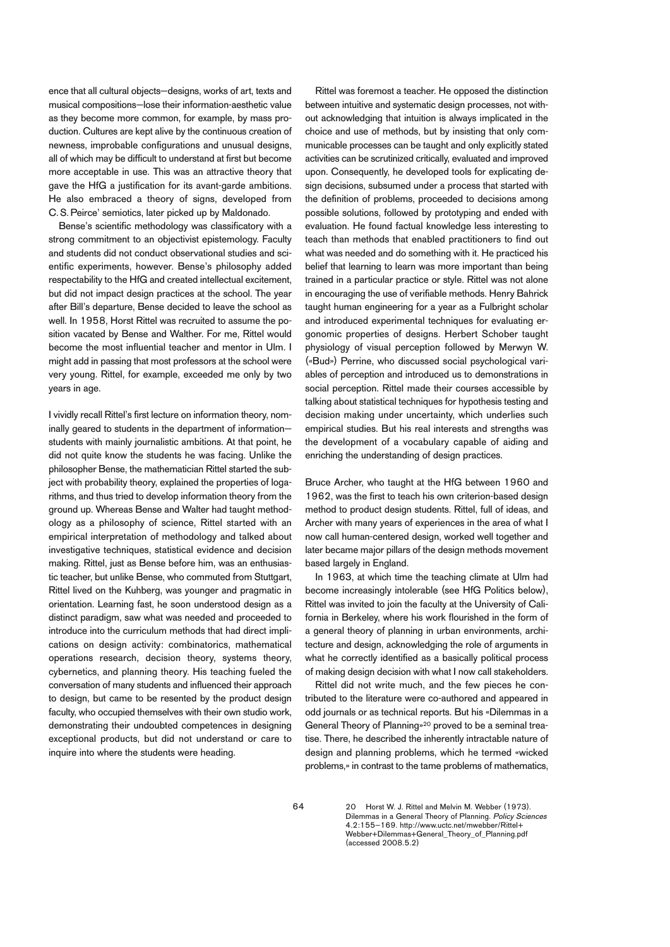ence that all cultural objects—designs, works of art, texts and musical compositions—lose their information-aesthetic value as they become more common, for example, by mass production. Cultures are kept alive by the continuous creation of newness, improbable configurations and unusual designs, all of which may be difficult to understand at first but become more acceptable in use. This was an attractive theory that gave the HfG a justification for its avant-garde ambitions. He also embraced a theory of signs, developed from C. S.Peirce' semiotics, later picked up by Maldonado.

Bense's scientific methodology was classificatory with a strong commitment to an objectivist epistemology. Faculty and students did not conduct observational studies and scientific experiments, however. Bense's philosophy added respectability to the HfG and created intellectual excitement, but did not impact design practices at the school. The year after Bill's departure, Bense decided to leave the school as well. In 1958, Horst Rittel was recruited to assume the position vacated by Bense and Walther. For me, Rittel would become the most influential teacher and mentor in Ulm. I might add in passing that most professors at the school were very young. Rittel, for example, exceeded me only by two years in age.

I vividly recall Rittel's first lecture on information theory, nominally geared to students in the department of information students with mainly journalistic ambitions. At that point, he did not quite know the students he was facing. Unlike the philosopher Bense, the mathematician Rittel started the subject with probability theory, explained the properties of logarithms, and thus tried to develop information theory from the ground up. Whereas Bense and Walter had taught methodology as a philosophy of science, Rittel started with an empirical interpretation of methodology and talked about investigative techniques, statistical evidence and decision making. Rittel, just as Bense before him, was an enthusiastic teacher, but unlike Bense, who commuted from Stuttgart, Rittel lived on the Kuhberg, was younger and pragmatic in orientation. Learning fast, he soon understood design as a distinct paradigm, saw what was needed and proceeded to introduce into the curriculum methods that had direct implications on design activity: combinatorics, mathematical operations research, decision theory, systems theory, cybernetics, and planning theory. His teaching fueled the conversation of many students and influenced their approach to design, but came to be resented by the product design faculty, who occupied themselves with their own studio work, demonstrating their undoubted competences in designing exceptional products, but did not understand or care to inquire into where the students were heading.

Rittel was foremost a teacher. He opposed the distinction between intuitive and systematic design processes, not without acknowledging that intuition is always implicated in the choice and use of methods, but by insisting that only communicable processes can be taught and only explicitly stated activities can be scrutinized critically, evaluated and improved upon. Consequently, he developed tools for explicating design decisions, subsumed under a process that started with the definition of problems, proceeded to decisions among possible solutions, followed by prototyping and ended with evaluation. He found factual knowledge less interesting to teach than methods that enabled practitioners to find out what was needed and do something with it. He practiced his belief that learning to learn was more important than being trained in a particular practice or style. Rittel was not alone in encouraging the use of verifiable methods. Henry Bahrick taught human engineering for a year as a Fulbright scholar and introduced experimental techniques for evaluating ergonomic properties of designs. Herbert Schober taught physiology of visual perception followed by Merwyn W. («Bud») Perrine, who discussed social psychological variables of perception and introduced us to demonstrations in social perception. Rittel made their courses accessible by talking about statistical techniques for hypothesis testing and decision making under uncertainty, which underlies such empirical studies. But his real interests and strengths was the development of a vocabulary capable of aiding and enriching the understanding of design practices.

Bruce Archer, who taught at the HfG between 1960 and 1962, was the first to teach his own criterion-based design method to product design students. Rittel, full of ideas, and Archer with many years of experiences in the area of what I now call human-centered design, worked well together and later became major pillars of the design methods movement based largely in England.

In 1963, at which time the teaching climate at Ulm had become increasingly intolerable (see HfG Politics below), Rittel was invited to join the faculty at the University of California in Berkeley, where his work flourished in the form of a general theory of planning in urban environments, architecture and design, acknowledging the role of arguments in what he correctly identified as a basically political process of making design decision with what I now call stakeholders.

Rittel did not write much, and the few pieces he contributed to the literature were co-authored and appeared in odd journals or as technical reports. But his «Dilemmas in a General Theory of Planning»20 proved to be a seminal treatise. There, he described the inherently intractable nature of design and planning problems, which he termed «wicked problems,» in contrast to the tame problems of mathematics,

> 20 Horst W. J. Rittel and Melvin M. Webber (1973). Dilemmas in a General Theory of Planning. Policy Sciences 4.2:155–169. http://www.uctc.net/mwebber/Rittel+ Webber+Dilemmas+General\_Theory\_of\_Planning.pdf (accessed 2008.5.2)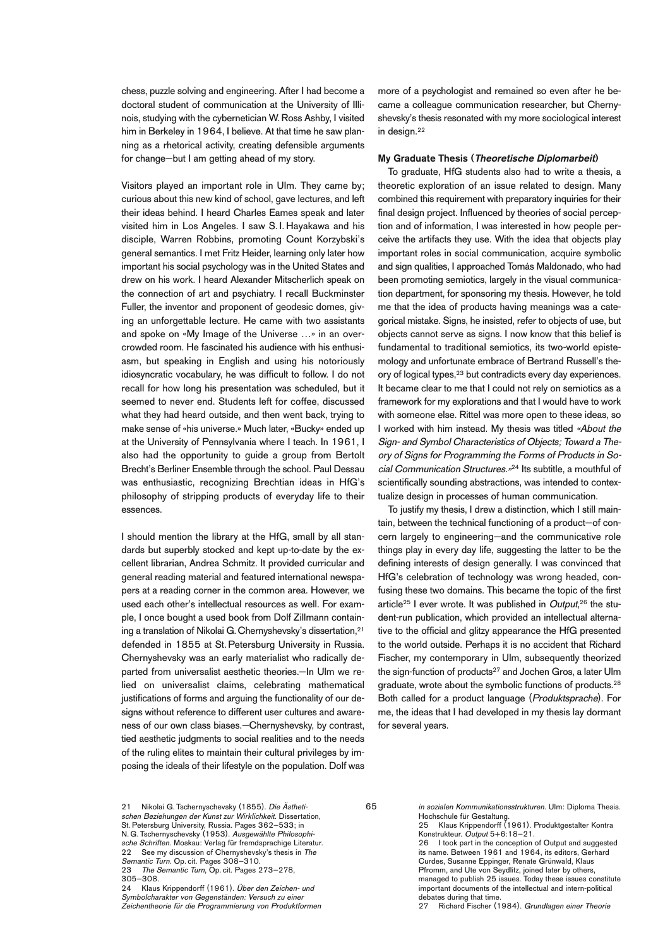chess, puzzle solving and engineering. After I had become a doctoral student of communication at the University of Illinois, studying with the cybernetician W.Ross Ashby, I visited him in Berkeley in 1964, I believe. At that time he saw planning as a rhetorical activity, creating defensible arguments for change—but I am getting ahead of my story.

Visitors played an important role in Ulm. They came by; curious about this new kind of school, gave lectures, and left their ideas behind. I heard Charles Eames speak and later visited him in Los Angeles. I saw S. I. Hayakawa and his disciple, Warren Robbins, promoting Count Korzybski's general semantics. I met Fritz Heider, learning only later how important his social psychology was in the United States and drew on his work. I heard Alexander Mitscherlich speak on the connection of art and psychiatry. I recall Buckminster Fuller, the inventor and proponent of geodesic domes, giving an unforgettable lecture. He came with two assistants and spoke on «My Image of the Universe …» in an overcrowded room. He fascinated his audience with his enthusiasm, but speaking in English and using his notoriously idiosyncratic vocabulary, he was difficult to follow. I do not recall for how long his presentation was scheduled, but it seemed to never end. Students left for coffee, discussed what they had heard outside, and then went back, trying to make sense of «his universe.» Much later, «Bucky» ended up at the University of Pennsylvania where I teach. In 1961, I also had the opportunity to guide a group from Bertolt Brecht's Berliner Ensemble through the school. Paul Dessau was enthusiastic, recognizing Brechtian ideas in HfG's philosophy of stripping products of everyday life to their essences.

I should mention the library at the HfG, small by all standards but superbly stocked and kept up-to-date by the excellent librarian, Andrea Schmitz. It provided curricular and general reading material and featured international newspapers at a reading corner in the common area. However, we used each other's intellectual resources as well. For example, I once bought a used book from Dolf Zillmann containing a translation of Nikolai G. Chernyshevsky's dissertation,<sup>21</sup> defended in 1855 at St. Petersburg University in Russia. Chernyshevsky was an early materialist who radically departed from universalist aesthetic theories.—In Ulm we relied on universalist claims, celebrating mathematical justifications of forms and arguing the functionality of our designs without reference to different user cultures and awareness of our own class biases.—Chernyshevsky, by contrast, tied aesthetic judgments to social realities and to the needs of the ruling elites to maintain their cultural privileges by imposing the ideals of their lifestyle on the population. Dolf was more of a psychologist and remained so even after he became a colleague communication researcher, but Chernyshevsky's thesis resonated with my more sociological interest in design. 22

#### **My Graduate Thesis (Theoretische Diplomarbeit)**

To graduate, HfG students also had to write a thesis, a theoretic exploration of an issue related to design. Many combined this requirement with preparatory inquiries for their final design project. Influenced by theories of social perception and of information, I was interested in how people perceive the artifacts they use. With the idea that objects play important roles in social communication, acquire symbolic and sign qualities, I approached Tomás Maldonado, who had been promoting semiotics, largely in the visual communication department, for sponsoring my thesis. However, he told me that the idea of products having meanings was a categorical mistake. Signs, he insisted, refer to objects of use, but objects cannot serve as signs. I now know that this belief is fundamental to traditional semiotics, its two-world epistemology and unfortunate embrace of Bertrand Russell's theory of logical types, <sup>23</sup> but contradicts every day experiences. It became clear to me that I could not rely on semiotics as a framework for my explorations and that I would have to work with someone else. Rittel was more open to these ideas, so I worked with him instead. My thesis was titled «About the Sign- and Symbol Characteristics of Objects; Toward <sup>a</sup> Theory of Signs for Programming the Forms of Products in Social Communication Structures.»<sup>24</sup> Its subtitle, a mouthful of scientifically sounding abstractions, was intended to contextualize design in processes of human communication.

To justify my thesis, I drew a distinction, which I still maintain, between the technical functioning of a product—of concern largely to engineering—and the communicative role things play in every day life, suggesting the latter to be the defining interests of design generally. I was convinced that HfG's celebration of technology was wrong headed, confusing these two domains. This became the topic of the first article<sup>25</sup> I ever wrote. It was published in *Output*,<sup>26</sup> the student-run publication, which provided an intellectual alternative to the official and glitzy appearance the HfG presented to the world outside. Perhaps it is no accident that Richard Fischer, my contemporary in Ulm, subsequently theorized the sign-function of products<sup>27</sup> and Jochen Gros, a later Ulm graduate, wrote about the symbolic functions of products.<sup>28</sup> Both called for a product language (Produktsprache). For me, the ideas that I had developed in my thesis lay dormant for several years.

in sozialen Kommunikationsstrukturen. Ulm: Diploma Thesis. Hochschule für Gestaltung.

65

25 Klaus Krippendorff (1961). Produktgestalter Kontra Konstrukteur. Output 5+6:18–21.

26 I took part in the conception of Output and suggested its name. Between 1961 and 1964, its editors, Gerhard Curdes, Susanne Eppinger, Renate Grünwald, Klaus Pfromm, and Ute von Seydlitz, joined later by others, managed to publish 25 issues. Today these issues constitute important documents of the intellectual and intern-political debates during that time.

27 Richard Fischer (1984). Grundlagen einer Theorie

<sup>21</sup> Nikolai G. Tschernyschevsky (1855). Die Ästhetischen Beziehungen der Kunst zur Wirklichkeit. Dissertation, St. Petersburg University, Russia. Pages 362–533; in N. G. Tschernyschevsky (1953). Ausgewählte Philosophi-

sche Schriften. Moskau: Verlag für fremdsprachige Literatur. 22 See my discussion of Chernyshevsky's thesis in The Semantic Turn. Op. cit. Pages 308-310.

<sup>23</sup> The Semantic Turn, Op. cit. Pages 273-278, 305–308.<br>24 Klaus

<sup>24</sup> Klaus Krippendorff (1961). Über den Zeichen- und Symbolcharakter von Gegenständen: Versuch zu einer Zeichentheorie für die Programmierung von Produktformen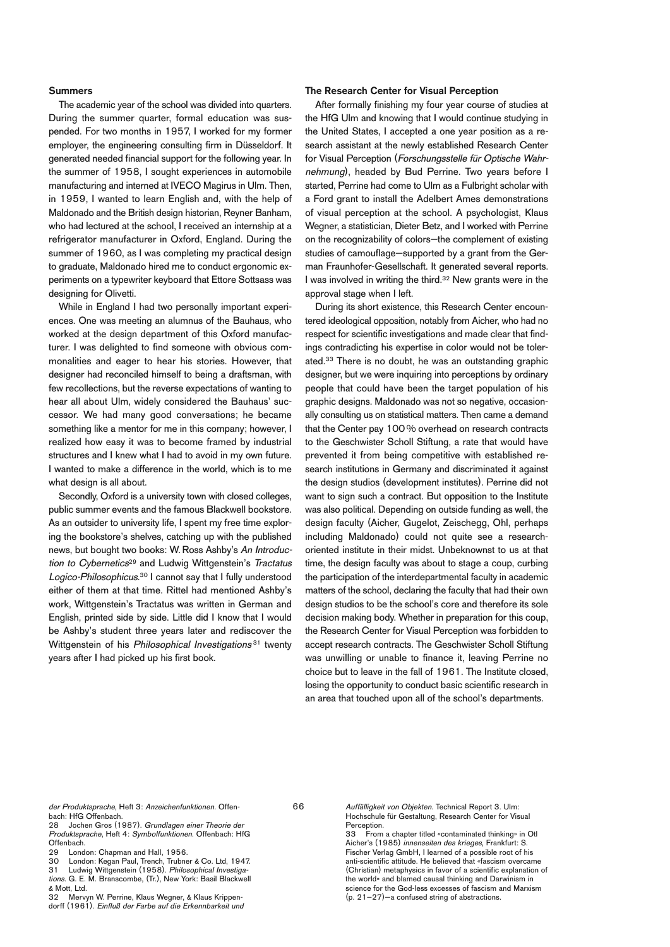### **Summers**

The academic year of the school was divided into quarters. During the summer quarter, formal education was suspended. For two months in 1957, I worked for my former employer, the engineering consulting firm in Düsseldorf. It generated needed financial support for the following year. In the summer of 1958, I sought experiences in automobile manufacturing and interned at IVECO Magirus in Ulm. Then, in 1959, I wanted to learn English and, with the help of Maldonado and the British design historian, Reyner Banham, who had lectured at the school, I received an internship at a refrigerator manufacturer in Oxford, England. During the summer of 1960, as I was completing my practical design to graduate, Maldonado hired me to conduct ergonomic experiments on a typewriter keyboard that Ettore Sottsass was designing for Olivetti.

While in England I had two personally important experiences. One was meeting an alumnus of the Bauhaus, who worked at the design department of this Oxford manufacturer. I was delighted to find someone with obvious commonalities and eager to hear his stories. However, that designer had reconciled himself to being a draftsman, with few recollections, but the reverse expectations of wanting to hear all about Ulm, widely considered the Bauhaus' successor. We had many good conversations; he became something like a mentor for me in this company; however, I realized how easy it was to become framed by industrial structures and I knew what I had to avoid in my own future. I wanted to make a difference in the world, which is to me what design is all about.

Secondly, Oxford is a university town with closed colleges, public summer events and the famous Blackwell bookstore. As an outsider to university life, I spent my free time exploring the bookstore's shelves, catching up with the published news, but bought two books: W.Ross Ashby's An Introduction to Cybernetics<sup>29</sup> and Ludwig Wittgenstein's Tractatus Logico-Philosophicus. <sup>30</sup> I cannot say that I fully understood either of them at that time. Rittel had mentioned Ashby's work, Wittgenstein's Tractatus was written in German and English, printed side by side. Little did I know that I would be Ashby's student three years later and rediscover the Wittgenstein of his Philosophical Investigations<sup>31</sup> twenty years after I had picked up his first book.

### **The Research Center for Visual Perception**

After formally finishing my four year course of studies at the HfG Ulm and knowing that I would continue studying in the United States, I accepted a one year position as a research assistant at the newly established Research Center for Visual Perception (Forschungsstelle für Optische Wahrnehmung), headed by Bud Perrine. Two years before I started, Perrine had come to Ulm as a Fulbright scholar with a Ford grant to install the Adelbert Ames demonstrations of visual perception at the school. A psychologist, Klaus Wegner, a statistician, Dieter Betz, and I worked with Perrine on the recognizability of colors—the complement of existing studies of camouflage—supported by a grant from the German Fraunhofer-Gesellschaft. It generated several reports. I was involved in writing the third. <sup>32</sup> New grants were in the approval stage when I left.

During its short existence, this Research Center encountered ideological opposition, notably from Aicher, who had no respect for scientific investigations and made clear that findings contradicting his expertise in color would not be tolerated. <sup>33</sup> There is no doubt, he was an outstanding graphic designer, but we were inquiring into perceptions by ordinary people that could have been the target population of his graphic designs. Maldonado was not so negative, occasionally consulting us on statistical matters. Then came a demand that the Center pay 100 % overhead on research contracts to the Geschwister Scholl Stiftung, a rate that would have prevented it from being competitive with established research institutions in Germany and discriminated it against the design studios (development institutes). Perrine did not want to sign such a contract. But opposition to the Institute was also political. Depending on outside funding as well, the design faculty (Aicher, Gugelot, Zeischegg, Ohl, perhaps including Maldonado) could not quite see a researchoriented institute in their midst. Unbeknownst to us at that time, the design faculty was about to stage a coup, curbing the participation of the interdepartmental faculty in academic matters of the school, declaring the faculty that had their own design studios to be the school's core and therefore its sole decision making body. Whether in preparation for this coup, the Research Center for Visual Perception was forbidden to accept research contracts. The Geschwister Scholl Stiftung was unwilling or unable to finance it, leaving Perrine no choice but to leave in the fall of 1961. The Institute closed, losing the opportunity to conduct basic scientific research in an area that touched upon all of the school's departments.

der Produktsprache, Heft 3: Anzeichenfunktionen. Offenbach: HfG Offenbach.

28 Jochen Gros (1987). Grundlagen einer Theorie der Produktsprache, Heft 4: Symbolfunktionen. Offenbach: HfG Offenbach.<br>29 Lond

29 London: Chapman and Hall, 1956.<br>30 London: Kegan Paul Tranch, Trubne

30 London: Kegan Paul, Trench, Trubner & Co. Ltd, 1947.<br>31 Ludwig Wittgenstein (1958) Philosophical Investiga-

- Ludwig Wittgenstein (1958). Philosophical Investigations. G. E. M. Branscombe, (Tr.), New York: Basil Blackwell & Mott, Ltd.<br>32 Merv
- Mervyn W. Perrine, Klaus Wegner, & Klaus Krippendorff (1961). Einfluß der Farbe auf die Erkennbarkeit und

Auffälligkeit von Objekten. Technical Report 3. Ulm: Hochschule für Gestaltung, Research Center for Visual Perception.<br>33 From

66

33 From a chapter titled «contaminated thinking» in Otl Aicher's (1985) innenseiten des krieges, Frankfurt: S. Fischer Verlag GmbH, I learned of a possible root of his anti-scientific attitude. He believed that «fascism overcame (Christian) metaphysics in favor of a scientific explanation of the world» and blamed causal thinking and Darwinism in science for the God-less excesses of fascism and Marxism (p. 21–27)—a confused string of abstractions.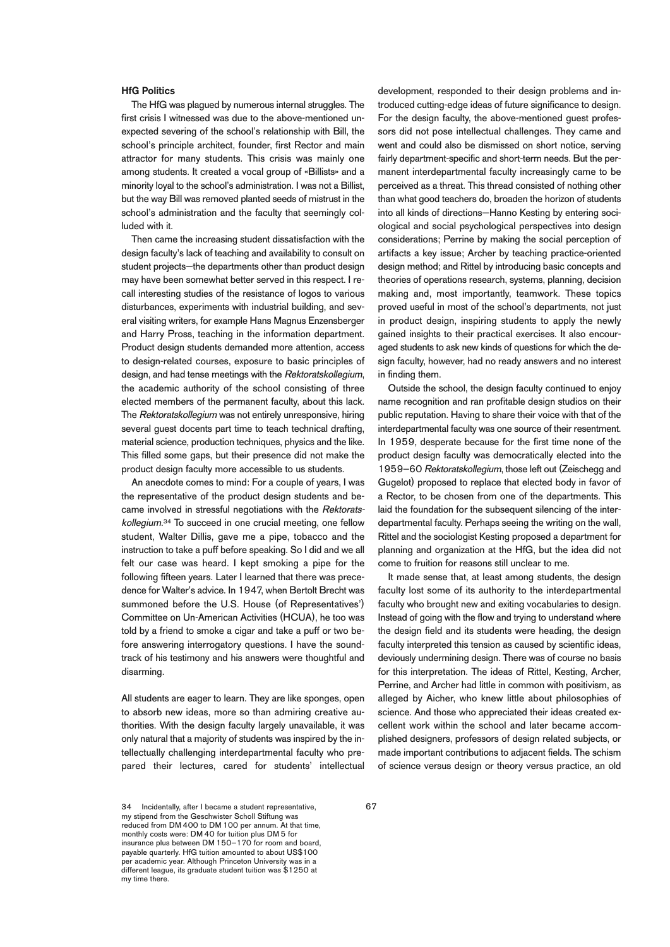#### **HfG Politics**

The HfG was plagued by numerous internal struggles. The first crisis I witnessed was due to the above-mentioned unexpected severing of the school's relationship with Bill, the school's principle architect, founder, first Rector and main attractor for many students. This crisis was mainly one among students. It created a vocal group of «Billists» and a minority loyal to the school's administration. I was not a Billist, but the way Bill was removed planted seeds of mistrust in the school's administration and the faculty that seemingly colluded with it.

Then came the increasing student dissatisfaction with the design faculty's lack of teaching and availability to consult on student projects—the departments other than product design may have been somewhat better served in this respect. I recall interesting studies of the resistance of logos to various disturbances, experiments with industrial building, and several visiting writers, for example Hans Magnus Enzensberger and Harry Pross, teaching in the information department. Product design students demanded more attention, access to design-related courses, exposure to basic principles of design, and had tense meetings with the Rektoratskollegium, the academic authority of the school consisting of three elected members of the permanent faculty, about this lack. The Rektoratskollegium was not entirely unresponsive, hiring several guest docents part time to teach technical drafting, material science, production techniques, physics and the like. This filled some gaps, but their presence did not make the product design faculty more accessible to us students.

An anecdote comes to mind: For a couple of years, I was the representative of the product design students and became involved in stressful negotiations with the Rektoratskollegium. <sup>34</sup> To succeed in one crucial meeting, one fellow student, Walter Dillis, gave me a pipe, tobacco and the instruction to take a puff before speaking. So I did and we all felt our case was heard. I kept smoking a pipe for the following fifteen years. Later I learned that there was precedence for Walter's advice. In 1947, when Bertolt Brecht was summoned before the U.S. House (of Representatives') Committee on Un-American Activities (HCUA), he too was told by a friend to smoke a cigar and take a puff or two before answering interrogatory questions. I have the soundtrack of his testimony and his answers were thoughtful and disarming.

All students are eager to learn. They are like sponges, open to absorb new ideas, more so than admiring creative authorities. With the design faculty largely unavailable, it was only natural that a majority of students was inspired by the intellectually challenging interdepartmental faculty who prepared their lectures, cared for students' intellectual development, responded to their design problems and introduced cutting-edge ideas of future significance to design. For the design faculty, the above-mentioned guest professors did not pose intellectual challenges. They came and went and could also be dismissed on short notice, serving fairly department-specific and short-term needs. But the permanent interdepartmental faculty increasingly came to be perceived as a threat. This thread consisted of nothing other than what good teachers do, broaden the horizon of students into all kinds of directions—Hanno Kesting by entering sociological and social psychological perspectives into design considerations; Perrine by making the social perception of artifacts a key issue; Archer by teaching practice-oriented design method; and Rittel by introducing basic concepts and theories of operations research, systems, planning, decision making and, most importantly, teamwork. These topics proved useful in most of the school's departments, not just in product design, inspiring students to apply the newly gained insights to their practical exercises. It also encouraged students to ask new kinds of questions for which the design faculty, however, had no ready answers and no interest in finding them.

Outside the school, the design faculty continued to enjoy name recognition and ran profitable design studios on their public reputation. Having to share their voice with that of the interdepartmental faculty was one source of their resentment. In 1959, desperate because for the first time none of the product design faculty was democratically elected into the 1959–60 Rektoratskollegium, those left out (Zeischegg and Gugelot) proposed to replace that elected body in favor of a Rector, to be chosen from one of the departments. This laid the foundation for the subsequent silencing of the interdepartmental faculty. Perhaps seeing the writing on the wall, Rittel and the sociologist Kesting proposed a department for planning and organization at the HfG, but the idea did not come to fruition for reasons still unclear to me.

It made sense that, at least among students, the design faculty lost some of its authority to the interdepartmental faculty who brought new and exiting vocabularies to design. Instead of going with the flow and trying to understand where the design field and its students were heading, the design faculty interpreted this tension as caused by scientific ideas, deviously undermining design. There was of course no basis for this interpretation. The ideas of Rittel, Kesting, Archer, Perrine, and Archer had little in common with positivism, as alleged by Aicher, who knew little about philosophies of science. And those who appreciated their ideas created excellent work within the school and later became accomplished designers, professors of design related subjects, or made important contributions to adjacent fields. The schism of science versus design or theory versus practice, an old

<sup>34</sup> Incidentally, after I became a student representative, my stipend from the Geschwister Scholl Stiftung was reduced from DM 400 to DM 100 per annum. At that time, monthly costs were: DM 40 for tuition plus DM 5 for insurance plus between DM 150–170 for room and board, payable quarterly. HfG tuition amounted to about US\$100 per academic year. Although Princeton University was in a different league, its graduate student tuition was \$1250 at my time there.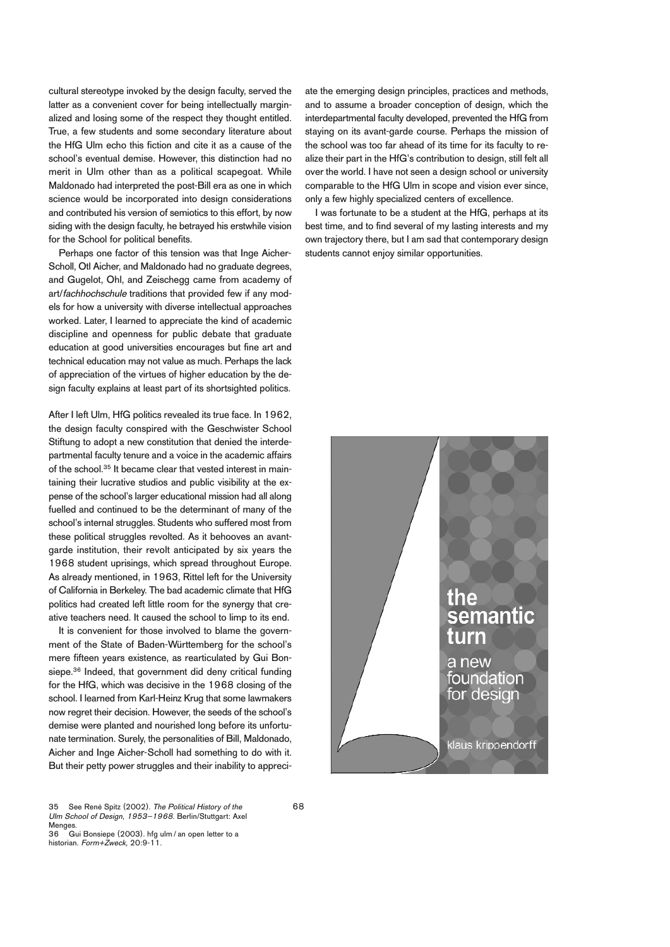cultural stereotype invoked by the design faculty, served the latter as a convenient cover for being intellectually marginalized and losing some of the respect they thought entitled. True, a few students and some secondary literature about the HfG Ulm echo this fiction and cite it as a cause of the school's eventual demise. However, this distinction had no merit in Ulm other than as a political scapegoat. While Maldonado had interpreted the post-Bill era as one in which science would be incorporated into design considerations and contributed his version of semiotics to this effort, by now siding with the design faculty, he betrayed his erstwhile vision for the School for political benefits.

Perhaps one factor of this tension was that Inge Aicher-Scholl, Otl Aicher, and Maldonado had no graduate degrees, and Gugelot, Ohl, and Zeischegg came from academy of art/fachhochschule traditions that provided few if any models for how a university with diverse intellectual approaches worked. Later, I learned to appreciate the kind of academic discipline and openness for public debate that graduate education at good universities encourages but fine art and technical education may not value as much. Perhaps the lack of appreciation of the virtues of higher education by the design faculty explains at least part of its shortsighted politics.

After I left Ulm, HfG politics revealed its true face. In 1962, the design faculty conspired with the Geschwister School Stiftung to adopt a new constitution that denied the interdepartmental faculty tenure and a voice in the academic affairs of the school. <sup>35</sup> It became clear that vested interest in maintaining their lucrative studios and public visibility at the expense of the school's larger educational mission had all along fuelled and continued to be the determinant of many of the school's internal struggles. Students who suffered most from these political struggles revolted. As it behooves an avantgarde institution, their revolt anticipated by six years the 1968 student uprisings, which spread throughout Europe. As already mentioned, in 1963, Rittel left for the University of California in Berkeley. The bad academic climate that HfG politics had created left little room for the synergy that creative teachers need. It caused the school to limp to its end.

It is convenient for those involved to blame the government of the State of Baden-Württemberg for the school's mere fifteen years existence, as rearticulated by Gui Bonsiepe. <sup>36</sup> Indeed, that government did deny critical funding for the HfG, which was decisive in the 1968 closing of the school. I learned from Karl-Heinz Krug that some lawmakers now regret their decision. However, the seeds of the school's demise were planted and nourished long before its unfortunate termination. Surely, the personalities of Bill, Maldonado, Aicher and Inge Aicher-Scholl had something to do with it. But their petty power struggles and their inability to appreciate the emerging design principles, practices and methods, and to assume a broader conception of design, which the interdepartmental faculty developed, prevented the HfG from staying on its avant-garde course. Perhaps the mission of the school was too far ahead of its time for its faculty to realize their part in the HfG's contribution to design, still felt all over the world. I have not seen a design school or university comparable to the HfG Ulm in scope and vision ever since, only a few highly specialized centers of excellence.

I was fortunate to be a student at the HfG, perhaps at its best time, and to find several of my lasting interests and my own trajectory there, but I am sad that contemporary design students cannot enjoy similar opportunities.



36 Gui Bonsiepe (2003). hfg ulm / an open letter to a historian. Form+Zweck, 20:9-11.

68

<sup>35</sup> See René Spitz (2002). The Political History of the Ulm School of Design, 1953–1968. Berlin/Stuttgart: Axel Menges.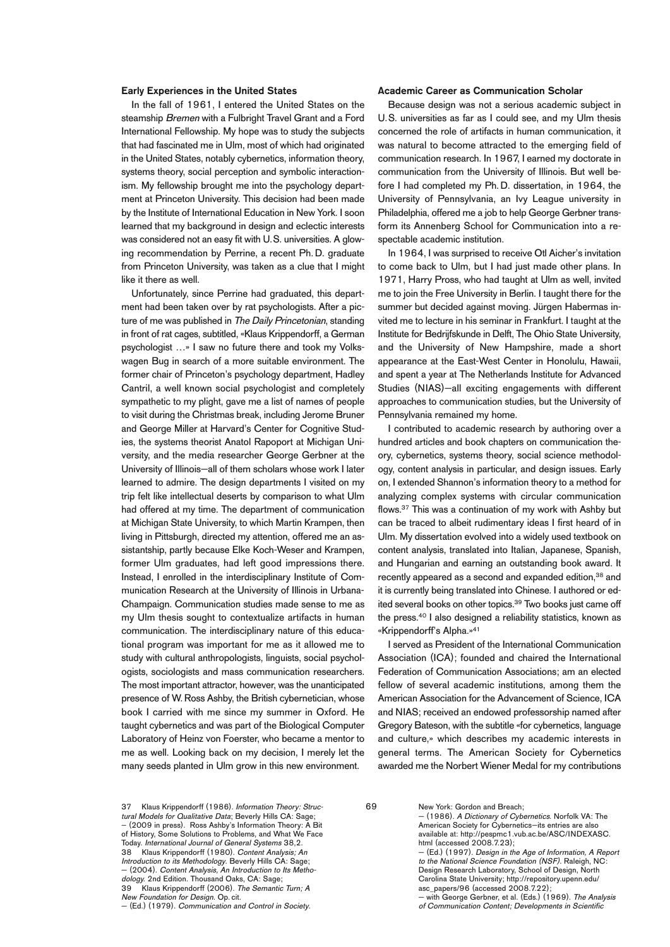#### **Early Experiences in the United States**

In the fall of 1961, I entered the United States on the steamship Bremen with a Fulbright Travel Grant and a Ford International Fellowship. My hope was to study the subjects that had fascinated me in Ulm, most of which had originated in the United States, notably cybernetics, information theory, systems theory, social perception and symbolic interactionism. My fellowship brought me into the psychology department at Princeton University. This decision had been made by the Institute of International Education in New York. I soon learned that my background in design and eclectic interests was considered not an easy fit with U.S. universities. A glowing recommendation by Perrine, a recent Ph. D. graduate from Princeton University, was taken as a clue that I might like it there as well.

Unfortunately, since Perrine had graduated, this department had been taken over by rat psychologists. After a picture of me was published in The Daily Princetonian, standing in front of rat cages, subtitled, «Klaus Krippendorff, a German psychologist …» I saw no future there and took my Volkswagen Bug in search of a more suitable environment. The former chair of Princeton's psychology department, Hadley Cantril, a well known social psychologist and completely sympathetic to my plight, gave me a list of names of people to visit during the Christmas break, including Jerome Bruner and George Miller at Harvard's Center for Cognitive Studies, the systems theorist Anatol Rapoport at Michigan University, and the media researcher George Gerbner at the University of Illinois—all of them scholars whose work I later learned to admire. The design departments I visited on my trip felt like intellectual deserts by comparison to what Ulm had offered at my time. The department of communication at Michigan State University, to which Martin Krampen, then living in Pittsburgh, directed my attention, offered me an assistantship, partly because Elke Koch-Weser and Krampen, former Ulm graduates, had left good impressions there. Instead, I enrolled in the interdisciplinary Institute of Communication Research at the University of Illinois in Urbana-Champaign. Communication studies made sense to me as my Ulm thesis sought to contextualize artifacts in human communication. The interdisciplinary nature of this educational program was important for me as it allowed me to study with cultural anthropologists, linguists, social psychologists, sociologists and mass communication researchers. The most important attractor, however, was the unanticipated presence of W.Ross Ashby, the British cybernetician, whose book I carried with me since my summer in Oxford. He taught cybernetics and was part of the Biological Computer Laboratory of Heinz von Foerster, who became a mentor to me as well. Looking back on my decision, I merely let the many seeds planted in Ulm grow in this new environment.

### **Academic Career as Communication Scholar**

Because design was not a serious academic subject in U.S. universities as far as I could see, and my Ulm thesis concerned the role of artifacts in human communication, it was natural to become attracted to the emerging field of communication research. In 1967, I earned my doctorate in communication from the University of Illinois. But well before I had completed my Ph. D. dissertation, in 1964, the University of Pennsylvania, an Ivy League university in Philadelphia, offered me a job to help George Gerbner transform its Annenberg School for Communication into a respectable academic institution.

In 1964, I was surprised to receive Otl Aicher's invitation to come back to Ulm, but I had just made other plans. In 1971, Harry Pross, who had taught at Ulm as well, invited me to join the Free University in Berlin. I taught there for the summer but decided against moving. Jürgen Habermas invited me to lecture in his seminar in Frankfurt. I taught at the Institute for Bedrijfskunde in Delft, The Ohio State University, and the University of New Hampshire, made a short appearance at the East-West Center in Honolulu, Hawaii, and spent a year at The Netherlands Institute for Advanced Studies (NIAS)—all exciting engagements with different approaches to communication studies, but the University of Pennsylvania remained my home.

I contributed to academic research by authoring over a hundred articles and book chapters on communication theory, cybernetics, systems theory, social science methodology, content analysis in particular, and design issues. Early on, I extended Shannon's information theory to a method for analyzing complex systems with circular communication flows. <sup>37</sup> This was a continuation of my work with Ashby but can be traced to albeit rudimentary ideas I first heard of in Ulm. My dissertation evolved into a widely used textbook on content analysis, translated into Italian, Japanese, Spanish, and Hungarian and earning an outstanding book award. It recently appeared as a second and expanded edition, <sup>38</sup> and it is currently being translated into Chinese. I authored or edited several books on other topics. <sup>39</sup> Two books just came off the press. <sup>40</sup> I also designed a reliability statistics, known as «Krippendorff's Alpha.»41

I served as President of the International Communication Association (ICA); founded and chaired the International Federation of Communication Associations; am an elected fellow of several academic institutions, among them the American Association for the Advancement of Science, ICA and NIAS; received an endowed professorship named after Gregory Bateson, with the subtitle «for cybernetics, language and culture,» which describes my academic interests in general terms. The American Society for Cybernetics awarded me the Norbert Wiener Medal for my contributions

Introduction to its Methodology. Beverly Hills CA: Sage — (2004). Content Analysis, An Introduction to Its Methodology. 2nd Edition. Thousand Oaks, CA: Sage<br>39 Klaus Krinnendorff (2006), The Semantic

69

<sup>37</sup> Klaus Krippendorff (1986). Information Theory: Structural Models for Qualitative Data; Beverly Hills CA: Sage; – (2009 in press). Ross Ashby's Information Theory: A Bit of History, Some Solutions to Problems, and What We Face Today. International Journal of General Systems 38,2. Klaus Krippendorff (1980). Content Analysis; An

<sup>39</sup> Klaus Krippendorff (2006). The Semantic Turn; A New Foundation for Design. Op. cit.

<sup>—</sup> (Ed.) (1979). Communication and Control in Society.

New York: Gordon and Breach; — (1986). A Dictionary of Cybernetics. Norfolk VA: The American Society for Cybernetics—its entries are also available at: http://pespmc1.vub.ac.be/ASC/INDEXASC.

html (accessed 2008.7.23); — (Ed.) (1997). Design in the Age of Information, A Report to the National Science Foundation (NSF). Raleigh, NC

Design Research Laboratory, School of Design, North Carolina State University; http://repository.upenn.edu/ asc\_papers/96 (accessed 2008.7.22);

<sup>-</sup> with George Gerbner, et al. (Eds.) (1969). The Analysis of Communication Content; Developments in Scientific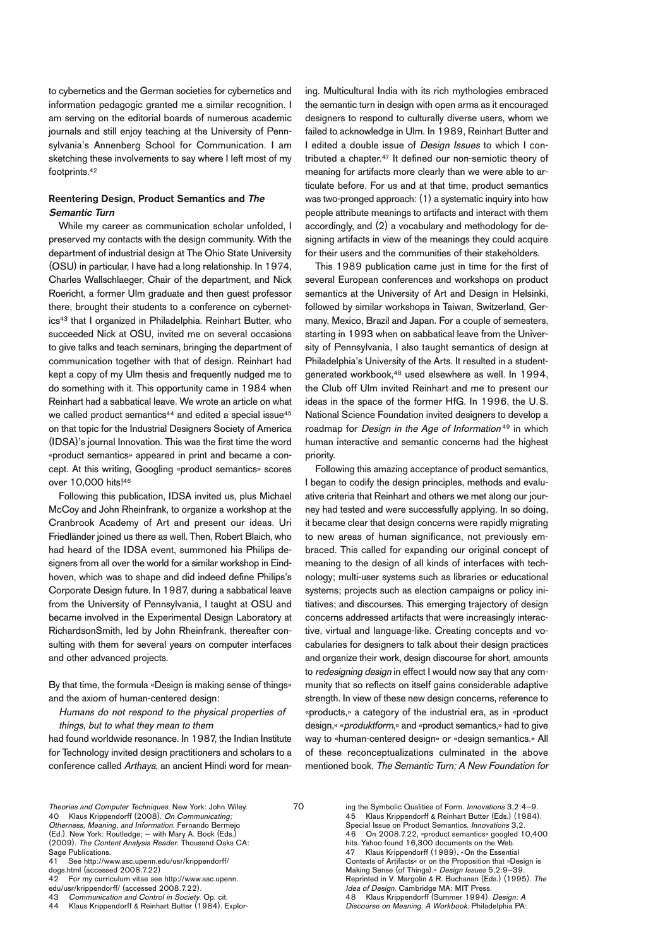to cybernetics and the German societies for cybernetics and information pedagogic granted me a similar recognition. I am serving on the editorial boards of numerous academic journals and still enjoy teaching at the University of Pennsylvania's Annenberg School for Communication. I am sketching these involvements to say where I left most of my footprints. 42

# **Reentering Design, Product Semantics and The Semantic Turn**

While my career as communication scholar unfolded, I preserved my contacts with the design community. With the department of industrial design at The Ohio State University (OSU) in particular, I have had a long relationship. In 1974, Charles Wallschlaeger, Chair of the department, and Nick Roericht, a former Ulm graduate and then guest professor there, brought their students to a conference on cybernetics43 that I organized in Philadelphia. Reinhart Butter, who succeeded Nick at OSU, invited me on several occasions to give talks and teach seminars, bringing the department of communication together with that of design. Reinhart had kept a copy of my Ulm thesis and frequently nudged me to do something with it. This opportunity came in 1984 when Reinhart had a sabbatical leave. We wrote an article on what we called product semantics<sup>44</sup> and edited a special issue<sup>45</sup> on that topic for the Industrial Designers Society of America (IDSA)'s journal Innovation. This was the first time the word «product semantics» appeared in print and became a concept. At this writing, Googling «product semantics» scores over 10,000 hits! 46

Following this publication, IDSA invited us, plus Michael McCoy and John Rheinfrank, to organize a workshop at the Cranbrook Academy of Art and present our ideas. Uri Friedländer joined us there as well. Then, Robert Blaich, who had heard of the IDSA event, summoned his Philips designers from all over the world for a similar workshop in Eindhoven, which was to shape and did indeed define Philips's Corporate Design future. In 1987, during a sabbatical leave from the University of Pennsylvania, I taught at OSU and became involved in the Experimental Design Laboratory at RichardsonSmith, led by John Rheinfrank, thereafter consulting with them for several years on computer interfaces and other advanced projects.

By that time, the formula «Design is making sense of things» and the axiom of human-centered design:

# Humans do not respond to the physical properties of things, but to what they mean to them

had found worldwide resonance. In 1987, the Indian Institute for Technology invited design practitioners and scholars to a conference called Arthaya, an ancient Hindi word for meaning. Multicultural India with its rich mythologies embraced the semantic turn in design with open arms as it encouraged designers to respond to culturally diverse users, whom we failed to acknowledge in Ulm. In 1989, Reinhart Butter and I edited a double issue of *Design Issues* to which I contributed a chapter. <sup>47</sup> It defined our non-semiotic theory of meaning for artifacts more clearly than we were able to articulate before. For us and at that time, product semantics was two-pronged approach: (1) a systematic inquiry into how people attribute meanings to artifacts and interact with them accordingly, and (2) a vocabulary and methodology for designing artifacts in view of the meanings they could acquire for their users and the communities of their stakeholders.

This 1989 publication came just in time for the first of several European conferences and workshops on product semantics at the University of Art and Design in Helsinki, followed by similar workshops in Taiwan, Switzerland, Germany, Mexico, Brazil and Japan. For a couple of semesters, starting in 1993 when on sabbatical leave from the University of Pennsylvania, I also taught semantics of design at Philadelphia's University of the Arts. It resulted in a studentgenerated workbook, <sup>48</sup> used elsewhere as well. In 1994, the Club off Ulm invited Reinhart and me to present our ideas in the space of the former HfG. In 1996, the U.S. National Science Foundation invited designers to develop a roadmap for Design in the Age of Information <sup>49</sup> in which human interactive and semantic concerns had the highest priority.

Following this amazing acceptance of product semantics, I began to codify the design principles, methods and evaluative criteria that Reinhart and others we met along our journey had tested and were successfully applying. In so doing, it became clear that design concerns were rapidly migrating to new areas of human significance, not previously embraced. This called for expanding our original concept of meaning to the design of all kinds of interfaces with technology; multi-user systems such as libraries or educational systems; projects such as election campaigns or policy initiatives; and discourses. This emerging trajectory of design concerns addressed artifacts that were increasingly interactive, virtual and language-like. Creating concepts and vocabularies for designers to talk about their design practices and organize their work, design discourse for short, amounts to redesigning design in effect I would now say that any community that so reflects on itself gains considerable adaptive strength. In view of these new design concerns, reference to «products,» a category of the industrial era, as in «product design,» «produktform,» and «product semantics,» had to give way to «human-centered design» or «design semantics.» All of these reconceptualizations culminated in the above mentioned book, The Semantic Turn; A New Foundation for

42 For my curriculum vitae see http://www.asc.upenn.

44 Klaus Krippendorff & Reinhart Butter (1984). Explor-

70

- ing the Symbolic Qualities of Form. *Innovations* 3,2:4–9.<br>45 Klaus Krippendorff & Reinhart Butter (Eds.) (1984) Klaus Krippendorff & Reinhart Butter (Eds.) (1984).
- Special Issue on Product Semantics. Innovations 3,2.

hits. Yahoo found 16,300 documents on the Web.

Contexts of Artifacts« or on the Proposition that »Design is

Idea of Design. Cambridge MA: MIT Press.

Discourse on Meaning. A Workbook. Philadelphia PA:

Theories and Computer Techniques. New York: John Wiley. 40 Klaus Krippendorff (2008). On Communicating; Otherness, Meaning, and Information. Fernando Bermejo (Ed.). New York: Routledge; — with Mary A. Bock (Eds.)<br>(2009). *The Content Analysis Reader*. Thousand Oaks CA:

Sage Publications.<br>41 See http://ww See http://www.asc.upenn.edu/usr/krippendorff/

dogs.html (accessed 2008.7.22)

edu/usr/krippendorff/ (accessed 2008.7.22).

<sup>43</sup> Communication and Control in Society. Op. cit.<br>44 Klaus Krippendorff & Reinhart Butter (1984). F

<sup>46</sup> On 2008.7.22, «product semantics» googled 10,400

Klaus Krippendorff (1989). «On the Essential

Making Sense (of Things).« Design Issues 5,2:9-39. Reprinted in V. Margolin & R. Buchanan (Eds.) (1995). The

<sup>48</sup> Klaus Krippendorff (Summer 1994). Design: A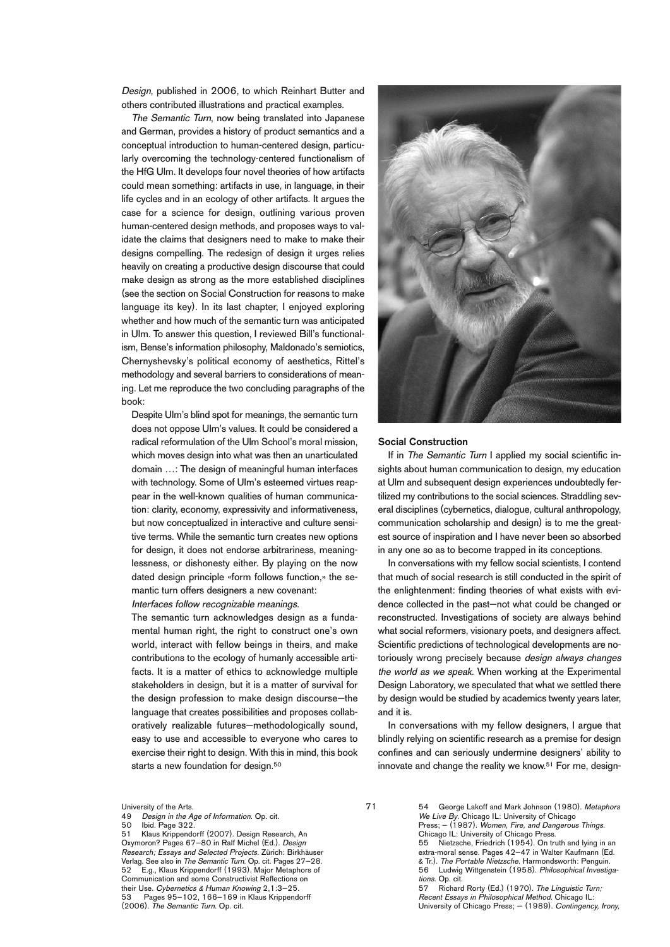Design, published in 2006, to which Reinhart Butter and others contributed illustrations and practical examples.

The Semantic Turn, now being translated into Japanese and German, provides a history of product semantics and a conceptual introduction to human-centered design, particularly overcoming the technology-centered functionalism of the HfG Ulm. It develops four novel theories of how artifacts could mean something: artifacts in use, in language, in their life cycles and in an ecology of other artifacts. It argues the case for a science for design, outlining various proven human-centered design methods, and proposes ways to validate the claims that designers need to make to make their designs compelling. The redesign of design it urges relies heavily on creating a productive design discourse that could make design as strong as the more established disciplines (see the section on Social Construction for reasons to make language its key). In its last chapter, I enjoyed exploring whether and how much of the semantic turn was anticipated in Ulm. To answer this question, I reviewed Bill's functionalism, Bense's information philosophy, Maldonado's semiotics, Chernyshevsky's political economy of aesthetics, Rittel's methodology and several barriers to considerations of meaning. Let me reproduce the two concluding paragraphs of the book:

Despite Ulm's blind spot for meanings, the semantic turn does not oppose Ulm's values. It could be considered a radical reformulation of the Ulm School's moral mission, which moves design into what was then an unarticulated domain …: The design of meaningful human interfaces with technology. Some of Ulm's esteemed virtues reappear in the well-known qualities of human communication: clarity, economy, expressivity and informativeness, but now conceptualized in interactive and culture sensitive terms. While the semantic turn creates new options for design, it does not endorse arbitrariness, meaninglessness, or dishonesty either. By playing on the now dated design principle «form follows function,» the semantic turn offers designers a new covenant: Interfaces follow recognizable meanings.

The semantic turn acknowledges design as a fundamental human right, the right to construct one's own world, interact with fellow beings in theirs, and make contributions to the ecology of humanly accessible artifacts. It is a matter of ethics to acknowledge multiple stakeholders in design, but it is a matter of survival for the design profession to make design discourse—the language that creates possibilities and proposes collaboratively realizable futures—methodologically sound, easy to use and accessible to everyone who cares to exercise their right to design. With this in mind, this book starts a new foundation for design.<sup>50</sup>

University of the Arts.<br>49 Design in the A

50 Ibid. Page 322.<br>51 Klaus Krinnende 51 Klaus Krippendorff (2007). Design Research, An Oxymoron? Pages 67–80 in Ralf Michel (Ed.). Design Research; Essays and Selected Projects. Zürich: Birkhäuser Verlag. See also in The Semantic Turn. Op. cit. Pages 27-28.<br>52 F.o., Klaus Krippendorff (1993). Maior Metaphors of 52 E.g., Klaus Krippendorff (1993). Major Metaphors of Communication and some Constructivist Reflections on their Use. Cybernetics & Human Knowing 2,1:3–25. 53 Pages 95–102, 166–169 in Klaus Krippendorff (2006). The Semantic Turn. Op. cit.



#### **Social Construction**

If in The Semantic Turn I applied my social scientific insights about human communication to design, my education at Ulm and subsequent design experiences undoubtedly fertilized my contributions to the social sciences. Straddling several disciplines (cybernetics, dialogue, cultural anthropology, communication scholarship and design) is to me the greatest source of inspiration and I have never been so absorbed in any one so as to become trapped in its conceptions.

In conversations with my fellow social scientists, I contend that much of social research is still conducted in the spirit of the enlightenment: finding theories of what exists with evidence collected in the past—not what could be changed or reconstructed. Investigations of society are always behind what social reformers, visionary poets, and designers affect. Scientific predictions of technological developments are notoriously wrong precisely because design always changes the world as we speak. When working at the Experimental Design Laboratory, we speculated that what we settled there by design would be studied by academics twenty years later, and it is.

In conversations with my fellow designers, I argue that blindly relying on scientific research as a premise for design confines and can seriously undermine designers' ability to innovate and change the reality we know. <sup>51</sup> For me, design-

71

54 George Lakoff and Mark Johnson (1980). Metaphors We Live By. Chicago IL: University of Chicago Press; – (1987). Women, Fire, and Dangerous Things. Chicago IL: University of Chicago Press. 55 Nietzsche, Friedrich (1954). On truth and lying in an extra-moral sense. Pages 42–47 in Walter Kaufmann (Ed. & Tr.). The Portable Nietzsche. Harmondsworth: Penguin. 56 Ludwig Wittgenstein (1958). Philosophical Investigations. Op. cit. 57 Richard Rorty (Ed.) (1970). The Linguistic Turn,

Recent Essays in Philosophical Method. Chicago IL: University of Chicago Press; — (1989). Contingency, Irony,

Design in the Age of Information. Op. cit.